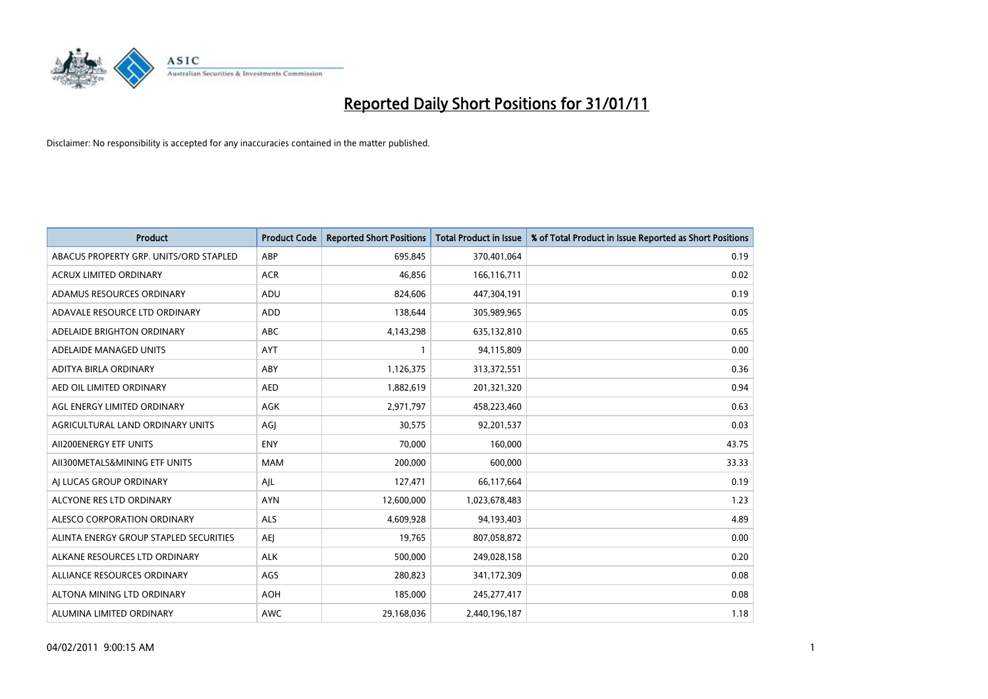

| Product                                | <b>Product Code</b> | <b>Reported Short Positions</b> | <b>Total Product in Issue</b> | % of Total Product in Issue Reported as Short Positions |
|----------------------------------------|---------------------|---------------------------------|-------------------------------|---------------------------------------------------------|
| ABACUS PROPERTY GRP. UNITS/ORD STAPLED | ABP                 | 695,845                         | 370,401,064                   | 0.19                                                    |
| <b>ACRUX LIMITED ORDINARY</b>          | <b>ACR</b>          | 46,856                          | 166,116,711                   | 0.02                                                    |
| ADAMUS RESOURCES ORDINARY              | ADU                 | 824,606                         | 447,304,191                   | 0.19                                                    |
| ADAVALE RESOURCE LTD ORDINARY          | <b>ADD</b>          | 138,644                         | 305,989,965                   | 0.05                                                    |
| ADELAIDE BRIGHTON ORDINARY             | <b>ABC</b>          | 4,143,298                       | 635,132,810                   | 0.65                                                    |
| ADELAIDE MANAGED UNITS                 | <b>AYT</b>          |                                 | 94,115,809                    | 0.00                                                    |
| ADITYA BIRLA ORDINARY                  | ABY                 | 1,126,375                       | 313,372,551                   | 0.36                                                    |
| AED OIL LIMITED ORDINARY               | <b>AED</b>          | 1,882,619                       | 201,321,320                   | 0.94                                                    |
| AGL ENERGY LIMITED ORDINARY            | <b>AGK</b>          | 2,971,797                       | 458,223,460                   | 0.63                                                    |
| AGRICULTURAL LAND ORDINARY UNITS       | AGI                 | 30,575                          | 92,201,537                    | 0.03                                                    |
| AII200ENERGY ETF UNITS                 | <b>ENY</b>          | 70,000                          | 160,000                       | 43.75                                                   |
| AII300METALS&MINING ETF UNITS          | <b>MAM</b>          | 200,000                         | 600,000                       | 33.33                                                   |
| AI LUCAS GROUP ORDINARY                | AJL                 | 127,471                         | 66,117,664                    | 0.19                                                    |
| ALCYONE RES LTD ORDINARY               | <b>AYN</b>          | 12,600,000                      | 1,023,678,483                 | 1.23                                                    |
| ALESCO CORPORATION ORDINARY            | <b>ALS</b>          | 4,609,928                       | 94,193,403                    | 4.89                                                    |
| ALINTA ENERGY GROUP STAPLED SECURITIES | <b>AEI</b>          | 19,765                          | 807,058,872                   | 0.00                                                    |
| ALKANE RESOURCES LTD ORDINARY          | <b>ALK</b>          | 500,000                         | 249,028,158                   | 0.20                                                    |
| ALLIANCE RESOURCES ORDINARY            | AGS                 | 280,823                         | 341,172,309                   | 0.08                                                    |
| ALTONA MINING LTD ORDINARY             | <b>AOH</b>          | 185,000                         | 245,277,417                   | 0.08                                                    |
| ALUMINA LIMITED ORDINARY               | <b>AWC</b>          | 29,168,036                      | 2,440,196,187                 | 1.18                                                    |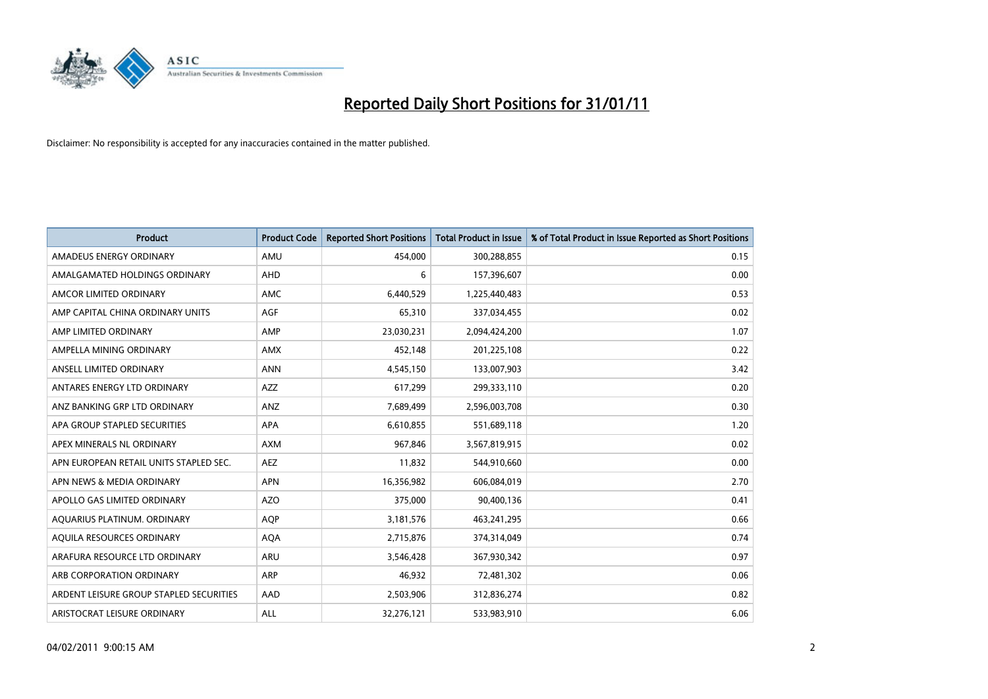

| <b>Product</b>                          | <b>Product Code</b> | <b>Reported Short Positions</b> | <b>Total Product in Issue</b> | % of Total Product in Issue Reported as Short Positions |
|-----------------------------------------|---------------------|---------------------------------|-------------------------------|---------------------------------------------------------|
| AMADEUS ENERGY ORDINARY                 | AMU                 | 454.000                         | 300,288,855                   | 0.15                                                    |
| AMALGAMATED HOLDINGS ORDINARY           | <b>AHD</b>          | 6                               | 157,396,607                   | 0.00                                                    |
| AMCOR LIMITED ORDINARY                  | <b>AMC</b>          | 6,440,529                       | 1,225,440,483                 | 0.53                                                    |
| AMP CAPITAL CHINA ORDINARY UNITS        | <b>AGF</b>          | 65,310                          | 337,034,455                   | 0.02                                                    |
| AMP LIMITED ORDINARY                    | AMP                 | 23,030,231                      | 2,094,424,200                 | 1.07                                                    |
| AMPELLA MINING ORDINARY                 | <b>AMX</b>          | 452,148                         | 201,225,108                   | 0.22                                                    |
| ANSELL LIMITED ORDINARY                 | <b>ANN</b>          | 4,545,150                       | 133,007,903                   | 3.42                                                    |
| ANTARES ENERGY LTD ORDINARY             | AZZ                 | 617,299                         | 299,333,110                   | 0.20                                                    |
| ANZ BANKING GRP LTD ORDINARY            | ANZ                 | 7,689,499                       | 2,596,003,708                 | 0.30                                                    |
| APA GROUP STAPLED SECURITIES            | <b>APA</b>          | 6,610,855                       | 551,689,118                   | 1.20                                                    |
| APEX MINERALS NL ORDINARY               | <b>AXM</b>          | 967,846                         | 3,567,819,915                 | 0.02                                                    |
| APN EUROPEAN RETAIL UNITS STAPLED SEC.  | <b>AEZ</b>          | 11,832                          | 544,910,660                   | 0.00                                                    |
| APN NEWS & MEDIA ORDINARY               | <b>APN</b>          | 16,356,982                      | 606,084,019                   | 2.70                                                    |
| APOLLO GAS LIMITED ORDINARY             | AZO                 | 375,000                         | 90,400,136                    | 0.41                                                    |
| AQUARIUS PLATINUM. ORDINARY             | <b>AOP</b>          | 3,181,576                       | 463,241,295                   | 0.66                                                    |
| AQUILA RESOURCES ORDINARY               | <b>AQA</b>          | 2,715,876                       | 374,314,049                   | 0.74                                                    |
| ARAFURA RESOURCE LTD ORDINARY           | ARU                 | 3,546,428                       | 367,930,342                   | 0.97                                                    |
| ARB CORPORATION ORDINARY                | <b>ARP</b>          | 46,932                          | 72,481,302                    | 0.06                                                    |
| ARDENT LEISURE GROUP STAPLED SECURITIES | AAD                 | 2,503,906                       | 312,836,274                   | 0.82                                                    |
| ARISTOCRAT LEISURE ORDINARY             | ALL                 | 32,276,121                      | 533,983,910                   | 6.06                                                    |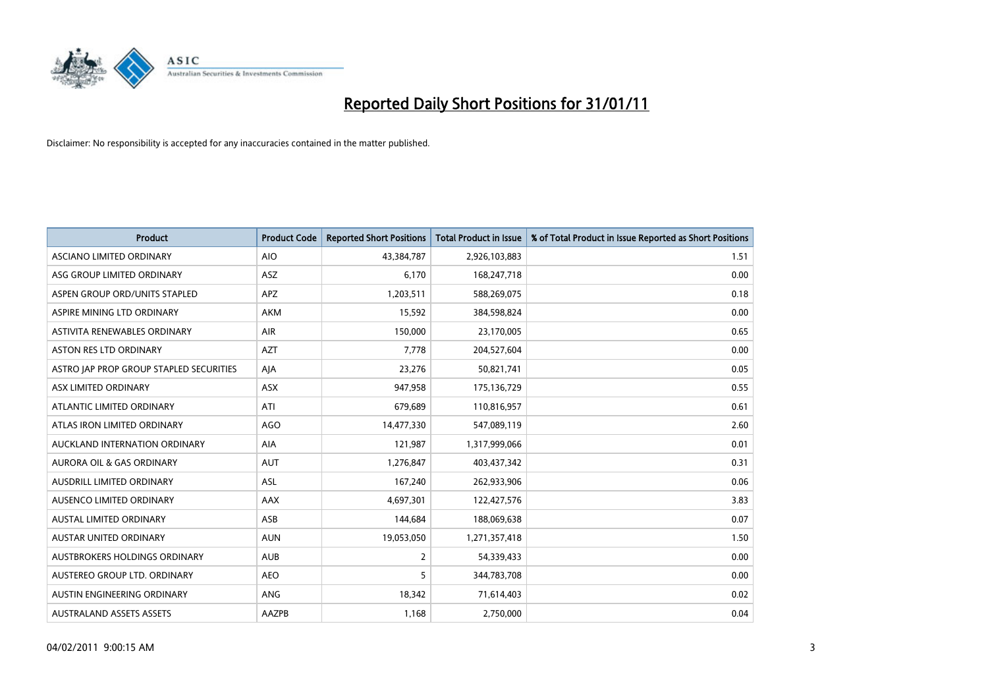

| <b>Product</b>                          | <b>Product Code</b> | <b>Reported Short Positions</b> | <b>Total Product in Issue</b> | % of Total Product in Issue Reported as Short Positions |
|-----------------------------------------|---------------------|---------------------------------|-------------------------------|---------------------------------------------------------|
| ASCIANO LIMITED ORDINARY                | <b>AIO</b>          | 43,384,787                      | 2,926,103,883                 | 1.51                                                    |
| ASG GROUP LIMITED ORDINARY              | ASZ                 | 6,170                           | 168,247,718                   | 0.00                                                    |
| ASPEN GROUP ORD/UNITS STAPLED           | <b>APZ</b>          | 1,203,511                       | 588,269,075                   | 0.18                                                    |
| ASPIRE MINING LTD ORDINARY              | <b>AKM</b>          | 15,592                          | 384,598,824                   | 0.00                                                    |
| ASTIVITA RENEWABLES ORDINARY            | AIR                 | 150,000                         | 23,170,005                    | 0.65                                                    |
| <b>ASTON RES LTD ORDINARY</b>           | <b>AZT</b>          | 7,778                           | 204,527,604                   | 0.00                                                    |
| ASTRO JAP PROP GROUP STAPLED SECURITIES | AJA                 | 23,276                          | 50,821,741                    | 0.05                                                    |
| ASX LIMITED ORDINARY                    | ASX                 | 947,958                         | 175,136,729                   | 0.55                                                    |
| ATLANTIC LIMITED ORDINARY               | ATI                 | 679,689                         | 110,816,957                   | 0.61                                                    |
| ATLAS IRON LIMITED ORDINARY             | <b>AGO</b>          | 14,477,330                      | 547,089,119                   | 2.60                                                    |
| AUCKLAND INTERNATION ORDINARY           | <b>AIA</b>          | 121,987                         | 1,317,999,066                 | 0.01                                                    |
| AURORA OIL & GAS ORDINARY               | <b>AUT</b>          | 1,276,847                       | 403,437,342                   | 0.31                                                    |
| AUSDRILL LIMITED ORDINARY               | ASL                 | 167,240                         | 262,933,906                   | 0.06                                                    |
| AUSENCO LIMITED ORDINARY                | AAX                 | 4,697,301                       | 122,427,576                   | 3.83                                                    |
| <b>AUSTAL LIMITED ORDINARY</b>          | ASB                 | 144,684                         | 188,069,638                   | 0.07                                                    |
| <b>AUSTAR UNITED ORDINARY</b>           | <b>AUN</b>          | 19,053,050                      | 1,271,357,418                 | 1.50                                                    |
| AUSTBROKERS HOLDINGS ORDINARY           | <b>AUB</b>          | $\overline{2}$                  | 54,339,433                    | 0.00                                                    |
| AUSTEREO GROUP LTD. ORDINARY            | <b>AEO</b>          | 5                               | 344,783,708                   | 0.00                                                    |
| AUSTIN ENGINEERING ORDINARY             | <b>ANG</b>          | 18,342                          | 71,614,403                    | 0.02                                                    |
| <b>AUSTRALAND ASSETS ASSETS</b>         | AAZPB               | 1,168                           | 2,750,000                     | 0.04                                                    |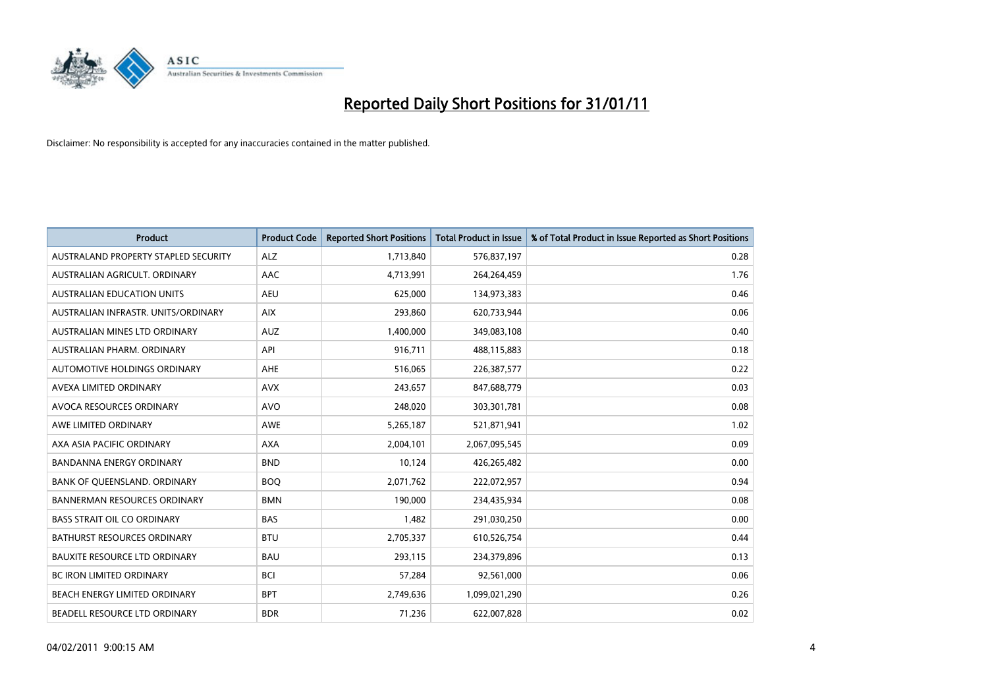

| <b>Product</b>                       | <b>Product Code</b> | <b>Reported Short Positions</b> | <b>Total Product in Issue</b> | % of Total Product in Issue Reported as Short Positions |
|--------------------------------------|---------------------|---------------------------------|-------------------------------|---------------------------------------------------------|
| AUSTRALAND PROPERTY STAPLED SECURITY | <b>ALZ</b>          | 1,713,840                       | 576,837,197                   | 0.28                                                    |
| AUSTRALIAN AGRICULT, ORDINARY        | AAC                 | 4,713,991                       | 264,264,459                   | 1.76                                                    |
| <b>AUSTRALIAN EDUCATION UNITS</b>    | <b>AEU</b>          | 625,000                         | 134,973,383                   | 0.46                                                    |
| AUSTRALIAN INFRASTR. UNITS/ORDINARY  | <b>AIX</b>          | 293,860                         | 620,733,944                   | 0.06                                                    |
| AUSTRALIAN MINES LTD ORDINARY        | <b>AUZ</b>          | 1,400,000                       | 349,083,108                   | 0.40                                                    |
| AUSTRALIAN PHARM, ORDINARY           | API                 | 916,711                         | 488,115,883                   | 0.18                                                    |
| AUTOMOTIVE HOLDINGS ORDINARY         | <b>AHE</b>          | 516,065                         | 226,387,577                   | 0.22                                                    |
| AVEXA LIMITED ORDINARY               | <b>AVX</b>          | 243,657                         | 847,688,779                   | 0.03                                                    |
| AVOCA RESOURCES ORDINARY             | <b>AVO</b>          | 248,020                         | 303,301,781                   | 0.08                                                    |
| AWE LIMITED ORDINARY                 | <b>AWE</b>          | 5,265,187                       | 521,871,941                   | 1.02                                                    |
| AXA ASIA PACIFIC ORDINARY            | <b>AXA</b>          | 2,004,101                       | 2,067,095,545                 | 0.09                                                    |
| <b>BANDANNA ENERGY ORDINARY</b>      | <b>BND</b>          | 10,124                          | 426,265,482                   | 0.00                                                    |
| BANK OF QUEENSLAND. ORDINARY         | <b>BOO</b>          | 2,071,762                       | 222,072,957                   | 0.94                                                    |
| <b>BANNERMAN RESOURCES ORDINARY</b>  | <b>BMN</b>          | 190.000                         | 234,435,934                   | 0.08                                                    |
| <b>BASS STRAIT OIL CO ORDINARY</b>   | <b>BAS</b>          | 1,482                           | 291,030,250                   | 0.00                                                    |
| <b>BATHURST RESOURCES ORDINARY</b>   | <b>BTU</b>          | 2,705,337                       | 610,526,754                   | 0.44                                                    |
| <b>BAUXITE RESOURCE LTD ORDINARY</b> | <b>BAU</b>          | 293,115                         | 234,379,896                   | 0.13                                                    |
| <b>BC IRON LIMITED ORDINARY</b>      | <b>BCI</b>          | 57,284                          | 92,561,000                    | 0.06                                                    |
| BEACH ENERGY LIMITED ORDINARY        | <b>BPT</b>          | 2,749,636                       | 1,099,021,290                 | 0.26                                                    |
| BEADELL RESOURCE LTD ORDINARY        | <b>BDR</b>          | 71,236                          | 622,007,828                   | 0.02                                                    |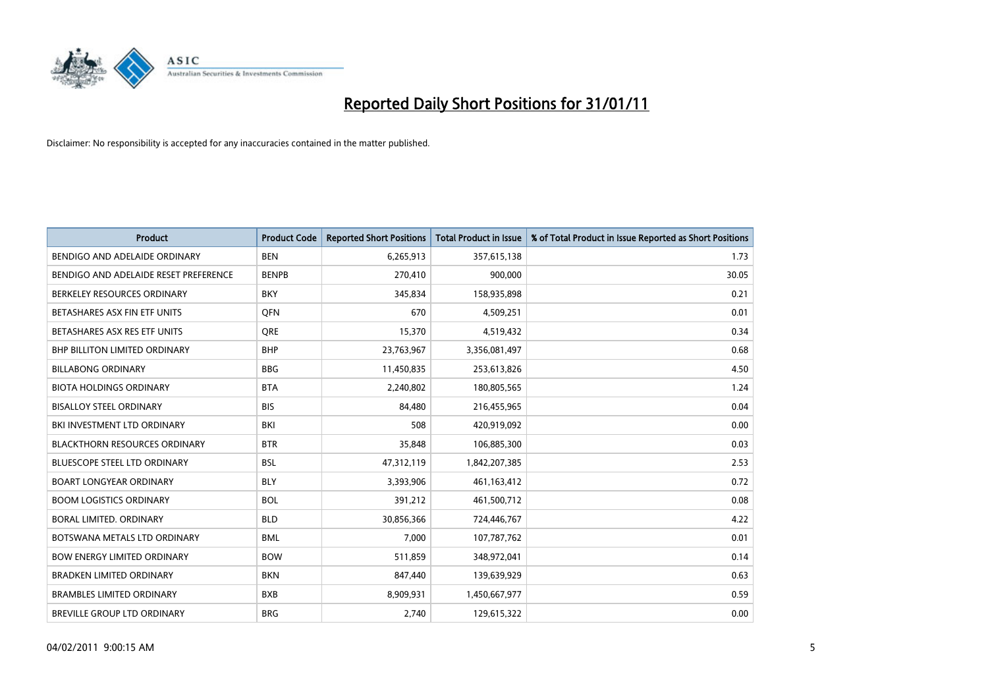

| Product                               | <b>Product Code</b> | <b>Reported Short Positions</b> | Total Product in Issue | % of Total Product in Issue Reported as Short Positions |
|---------------------------------------|---------------------|---------------------------------|------------------------|---------------------------------------------------------|
| BENDIGO AND ADELAIDE ORDINARY         | <b>BEN</b>          | 6,265,913                       | 357,615,138            | 1.73                                                    |
| BENDIGO AND ADELAIDE RESET PREFERENCE | <b>BENPB</b>        | 270,410                         | 900,000                | 30.05                                                   |
| BERKELEY RESOURCES ORDINARY           | <b>BKY</b>          | 345,834                         | 158,935,898            | 0.21                                                    |
| BETASHARES ASX FIN ETF UNITS          | <b>OFN</b>          | 670                             | 4,509,251              | 0.01                                                    |
| BETASHARES ASX RES ETF UNITS          | <b>ORE</b>          | 15,370                          | 4,519,432              | 0.34                                                    |
| <b>BHP BILLITON LIMITED ORDINARY</b>  | <b>BHP</b>          | 23,763,967                      | 3,356,081,497          | 0.68                                                    |
| <b>BILLABONG ORDINARY</b>             | <b>BBG</b>          | 11,450,835                      | 253,613,826            | 4.50                                                    |
| <b>BIOTA HOLDINGS ORDINARY</b>        | <b>BTA</b>          | 2,240,802                       | 180,805,565            | 1.24                                                    |
| <b>BISALLOY STEEL ORDINARY</b>        | <b>BIS</b>          | 84,480                          | 216,455,965            | 0.04                                                    |
| BKI INVESTMENT LTD ORDINARY           | BKI                 | 508                             | 420,919,092            | 0.00                                                    |
| <b>BLACKTHORN RESOURCES ORDINARY</b>  | <b>BTR</b>          | 35,848                          | 106,885,300            | 0.03                                                    |
| <b>BLUESCOPE STEEL LTD ORDINARY</b>   | <b>BSL</b>          | 47,312,119                      | 1,842,207,385          | 2.53                                                    |
| <b>BOART LONGYEAR ORDINARY</b>        | <b>BLY</b>          | 3,393,906                       | 461,163,412            | 0.72                                                    |
| <b>BOOM LOGISTICS ORDINARY</b>        | <b>BOL</b>          | 391,212                         | 461,500,712            | 0.08                                                    |
| BORAL LIMITED, ORDINARY               | <b>BLD</b>          | 30,856,366                      | 724,446,767            | 4.22                                                    |
| BOTSWANA METALS LTD ORDINARY          | <b>BML</b>          | 7,000                           | 107,787,762            | 0.01                                                    |
| <b>BOW ENERGY LIMITED ORDINARY</b>    | <b>BOW</b>          | 511,859                         | 348,972,041            | 0.14                                                    |
| BRADKEN LIMITED ORDINARY              | <b>BKN</b>          | 847,440                         | 139,639,929            | 0.63                                                    |
| <b>BRAMBLES LIMITED ORDINARY</b>      | <b>BXB</b>          | 8,909,931                       | 1,450,667,977          | 0.59                                                    |
| BREVILLE GROUP LTD ORDINARY           | <b>BRG</b>          | 2.740                           | 129,615,322            | 0.00                                                    |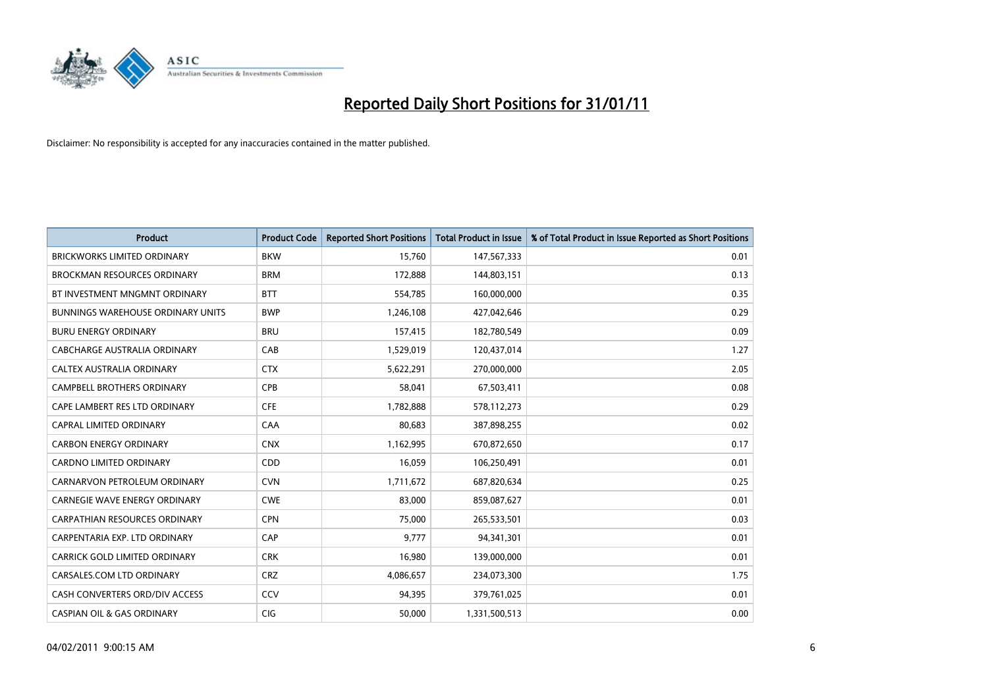

| <b>Product</b>                           | <b>Product Code</b> | <b>Reported Short Positions</b> | <b>Total Product in Issue</b> | % of Total Product in Issue Reported as Short Positions |
|------------------------------------------|---------------------|---------------------------------|-------------------------------|---------------------------------------------------------|
| <b>BRICKWORKS LIMITED ORDINARY</b>       | <b>BKW</b>          | 15,760                          | 147,567,333                   | 0.01                                                    |
| BROCKMAN RESOURCES ORDINARY              | <b>BRM</b>          | 172,888                         | 144,803,151                   | 0.13                                                    |
| BT INVESTMENT MNGMNT ORDINARY            | <b>BTT</b>          | 554,785                         | 160,000,000                   | 0.35                                                    |
| <b>BUNNINGS WAREHOUSE ORDINARY UNITS</b> | <b>BWP</b>          | 1,246,108                       | 427,042,646                   | 0.29                                                    |
| <b>BURU ENERGY ORDINARY</b>              | <b>BRU</b>          | 157,415                         | 182,780,549                   | 0.09                                                    |
| CABCHARGE AUSTRALIA ORDINARY             | CAB                 | 1,529,019                       | 120,437,014                   | 1.27                                                    |
| CALTEX AUSTRALIA ORDINARY                | <b>CTX</b>          | 5,622,291                       | 270,000,000                   | 2.05                                                    |
| <b>CAMPBELL BROTHERS ORDINARY</b>        | CPB                 | 58,041                          | 67,503,411                    | 0.08                                                    |
| CAPE LAMBERT RES LTD ORDINARY            | <b>CFE</b>          | 1,782,888                       | 578,112,273                   | 0.29                                                    |
| <b>CAPRAL LIMITED ORDINARY</b>           | CAA                 | 80,683                          | 387,898,255                   | 0.02                                                    |
| <b>CARBON ENERGY ORDINARY</b>            | <b>CNX</b>          | 1,162,995                       | 670,872,650                   | 0.17                                                    |
| <b>CARDNO LIMITED ORDINARY</b>           | CDD                 | 16,059                          | 106,250,491                   | 0.01                                                    |
| CARNARVON PETROLEUM ORDINARY             | <b>CVN</b>          | 1,711,672                       | 687,820,634                   | 0.25                                                    |
| CARNEGIE WAVE ENERGY ORDINARY            | <b>CWE</b>          | 83,000                          | 859,087,627                   | 0.01                                                    |
| <b>CARPATHIAN RESOURCES ORDINARY</b>     | <b>CPN</b>          | 75,000                          | 265,533,501                   | 0.03                                                    |
| CARPENTARIA EXP. LTD ORDINARY            | CAP                 | 9,777                           | 94,341,301                    | 0.01                                                    |
| CARRICK GOLD LIMITED ORDINARY            | <b>CRK</b>          | 16,980                          | 139,000,000                   | 0.01                                                    |
| CARSALES.COM LTD ORDINARY                | <b>CRZ</b>          | 4,086,657                       | 234,073,300                   | 1.75                                                    |
| CASH CONVERTERS ORD/DIV ACCESS           | CCV                 | 94,395                          | 379,761,025                   | 0.01                                                    |
| <b>CASPIAN OIL &amp; GAS ORDINARY</b>    | <b>CIG</b>          | 50.000                          | 1,331,500,513                 | 0.00                                                    |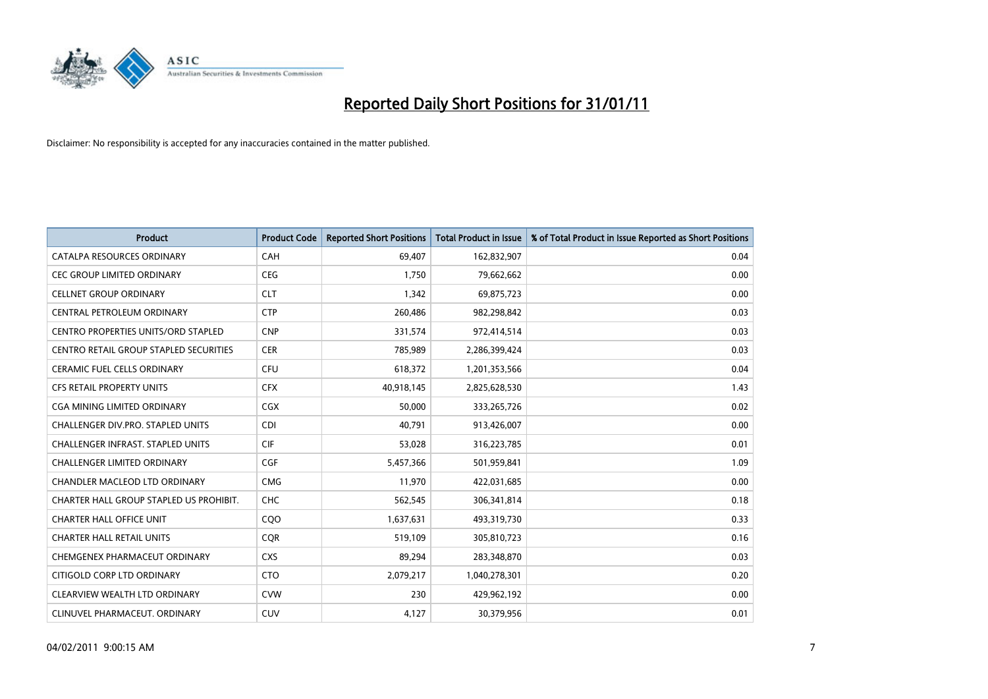

| <b>Product</b>                                | <b>Product Code</b> | <b>Reported Short Positions</b> | <b>Total Product in Issue</b> | % of Total Product in Issue Reported as Short Positions |
|-----------------------------------------------|---------------------|---------------------------------|-------------------------------|---------------------------------------------------------|
| CATALPA RESOURCES ORDINARY                    | <b>CAH</b>          | 69,407                          | 162,832,907                   | 0.04                                                    |
| CEC GROUP LIMITED ORDINARY                    | <b>CEG</b>          | 1,750                           | 79,662,662                    | 0.00                                                    |
| <b>CELLNET GROUP ORDINARY</b>                 | <b>CLT</b>          | 1,342                           | 69,875,723                    | 0.00                                                    |
| CENTRAL PETROLEUM ORDINARY                    | <b>CTP</b>          | 260,486                         | 982,298,842                   | 0.03                                                    |
| <b>CENTRO PROPERTIES UNITS/ORD STAPLED</b>    | <b>CNP</b>          | 331,574                         | 972,414,514                   | 0.03                                                    |
| <b>CENTRO RETAIL GROUP STAPLED SECURITIES</b> | <b>CER</b>          | 785,989                         | 2,286,399,424                 | 0.03                                                    |
| <b>CERAMIC FUEL CELLS ORDINARY</b>            | <b>CFU</b>          | 618,372                         | 1,201,353,566                 | 0.04                                                    |
| <b>CFS RETAIL PROPERTY UNITS</b>              | <b>CFX</b>          | 40,918,145                      | 2,825,628,530                 | 1.43                                                    |
| <b>CGA MINING LIMITED ORDINARY</b>            | <b>CGX</b>          | 50,000                          | 333,265,726                   | 0.02                                                    |
| <b>CHALLENGER DIV.PRO. STAPLED UNITS</b>      | <b>CDI</b>          | 40.791                          | 913,426,007                   | 0.00                                                    |
| <b>CHALLENGER INFRAST, STAPLED UNITS</b>      | <b>CIF</b>          | 53,028                          | 316,223,785                   | 0.01                                                    |
| <b>CHALLENGER LIMITED ORDINARY</b>            | <b>CGF</b>          | 5,457,366                       | 501,959,841                   | 1.09                                                    |
| <b>CHANDLER MACLEOD LTD ORDINARY</b>          | <b>CMG</b>          | 11,970                          | 422,031,685                   | 0.00                                                    |
| CHARTER HALL GROUP STAPLED US PROHIBIT.       | CHC                 | 562,545                         | 306,341,814                   | 0.18                                                    |
| <b>CHARTER HALL OFFICE UNIT</b>               | COO                 | 1,637,631                       | 493,319,730                   | 0.33                                                    |
| <b>CHARTER HALL RETAIL UNITS</b>              | <b>COR</b>          | 519,109                         | 305,810,723                   | 0.16                                                    |
| CHEMGENEX PHARMACEUT ORDINARY                 | <b>CXS</b>          | 89,294                          | 283,348,870                   | 0.03                                                    |
| CITIGOLD CORP LTD ORDINARY                    | <b>CTO</b>          | 2,079,217                       | 1,040,278,301                 | 0.20                                                    |
| CLEARVIEW WEALTH LTD ORDINARY                 | <b>CVW</b>          | 230                             | 429,962,192                   | 0.00                                                    |
| CLINUVEL PHARMACEUT, ORDINARY                 | <b>CUV</b>          | 4,127                           | 30,379,956                    | 0.01                                                    |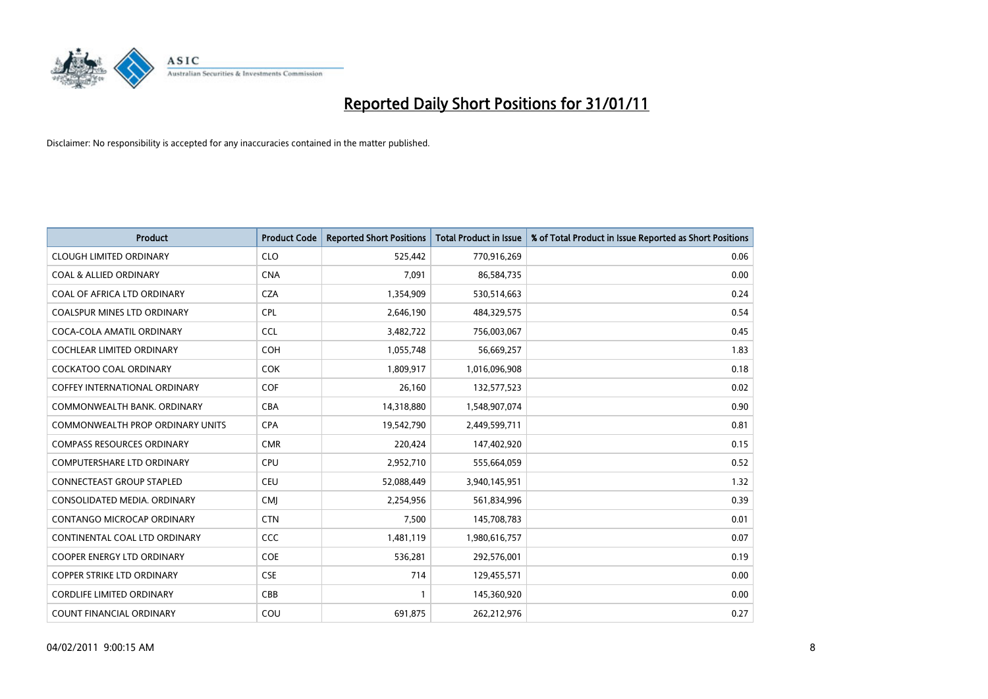

| <b>Product</b>                          | <b>Product Code</b> | <b>Reported Short Positions</b> | Total Product in Issue | % of Total Product in Issue Reported as Short Positions |
|-----------------------------------------|---------------------|---------------------------------|------------------------|---------------------------------------------------------|
| <b>CLOUGH LIMITED ORDINARY</b>          | <b>CLO</b>          | 525,442                         | 770,916,269            | 0.06                                                    |
| <b>COAL &amp; ALLIED ORDINARY</b>       | <b>CNA</b>          | 7.091                           | 86,584,735             | 0.00                                                    |
| COAL OF AFRICA LTD ORDINARY             | <b>CZA</b>          | 1,354,909                       | 530,514,663            | 0.24                                                    |
| COALSPUR MINES LTD ORDINARY             | <b>CPL</b>          | 2,646,190                       | 484,329,575            | 0.54                                                    |
| COCA-COLA AMATIL ORDINARY               | <b>CCL</b>          | 3,482,722                       | 756,003,067            | 0.45                                                    |
| <b>COCHLEAR LIMITED ORDINARY</b>        | <b>COH</b>          | 1,055,748                       | 56,669,257             | 1.83                                                    |
| <b>COCKATOO COAL ORDINARY</b>           | <b>COK</b>          | 1,809,917                       | 1,016,096,908          | 0.18                                                    |
| <b>COFFEY INTERNATIONAL ORDINARY</b>    | <b>COF</b>          | 26,160                          | 132,577,523            | 0.02                                                    |
| COMMONWEALTH BANK, ORDINARY             | <b>CBA</b>          | 14,318,880                      | 1,548,907,074          | 0.90                                                    |
| <b>COMMONWEALTH PROP ORDINARY UNITS</b> | <b>CPA</b>          | 19,542,790                      | 2,449,599,711          | 0.81                                                    |
| <b>COMPASS RESOURCES ORDINARY</b>       | <b>CMR</b>          | 220,424                         | 147,402,920            | 0.15                                                    |
| <b>COMPUTERSHARE LTD ORDINARY</b>       | <b>CPU</b>          | 2,952,710                       | 555,664,059            | 0.52                                                    |
| <b>CONNECTEAST GROUP STAPLED</b>        | <b>CEU</b>          | 52,088,449                      | 3,940,145,951          | 1.32                                                    |
| CONSOLIDATED MEDIA, ORDINARY            | <b>CMI</b>          | 2,254,956                       | 561,834,996            | 0.39                                                    |
| <b>CONTANGO MICROCAP ORDINARY</b>       | <b>CTN</b>          | 7,500                           | 145,708,783            | 0.01                                                    |
| CONTINENTAL COAL LTD ORDINARY           | <b>CCC</b>          | 1,481,119                       | 1,980,616,757          | 0.07                                                    |
| <b>COOPER ENERGY LTD ORDINARY</b>       | <b>COE</b>          | 536,281                         | 292,576,001            | 0.19                                                    |
| COPPER STRIKE LTD ORDINARY              | <b>CSE</b>          | 714                             | 129,455,571            | 0.00                                                    |
| <b>CORDLIFE LIMITED ORDINARY</b>        | CBB                 |                                 | 145,360,920            | 0.00                                                    |
| <b>COUNT FINANCIAL ORDINARY</b>         | COU                 | 691,875                         | 262,212,976            | 0.27                                                    |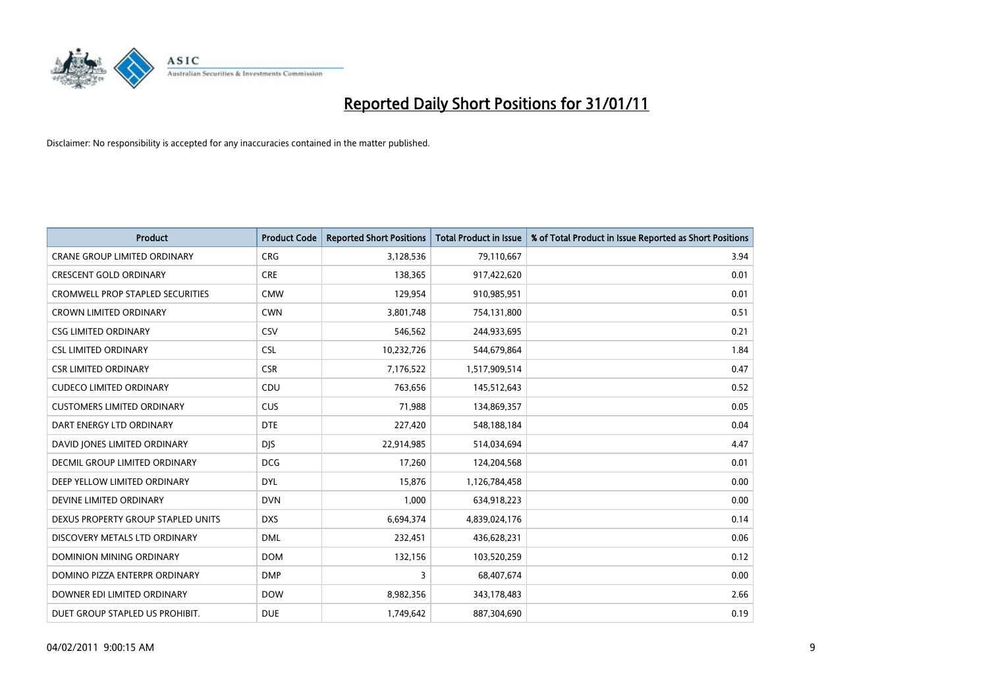

| <b>Product</b>                          | <b>Product Code</b> | <b>Reported Short Positions</b> | <b>Total Product in Issue</b> | % of Total Product in Issue Reported as Short Positions |
|-----------------------------------------|---------------------|---------------------------------|-------------------------------|---------------------------------------------------------|
| <b>CRANE GROUP LIMITED ORDINARY</b>     | <b>CRG</b>          | 3,128,536                       | 79,110,667                    | 3.94                                                    |
| <b>CRESCENT GOLD ORDINARY</b>           | <b>CRE</b>          | 138,365                         | 917,422,620                   | 0.01                                                    |
| <b>CROMWELL PROP STAPLED SECURITIES</b> | <b>CMW</b>          | 129,954                         | 910,985,951                   | 0.01                                                    |
| <b>CROWN LIMITED ORDINARY</b>           | <b>CWN</b>          | 3,801,748                       | 754,131,800                   | 0.51                                                    |
| <b>CSG LIMITED ORDINARY</b>             | CSV                 | 546,562                         | 244,933,695                   | 0.21                                                    |
| <b>CSL LIMITED ORDINARY</b>             | <b>CSL</b>          | 10,232,726                      | 544,679,864                   | 1.84                                                    |
| <b>CSR LIMITED ORDINARY</b>             | <b>CSR</b>          | 7,176,522                       | 1,517,909,514                 | 0.47                                                    |
| <b>CUDECO LIMITED ORDINARY</b>          | CDU                 | 763,656                         | 145,512,643                   | 0.52                                                    |
| <b>CUSTOMERS LIMITED ORDINARY</b>       | <b>CUS</b>          | 71,988                          | 134,869,357                   | 0.05                                                    |
| DART ENERGY LTD ORDINARY                | <b>DTE</b>          | 227,420                         | 548,188,184                   | 0.04                                                    |
| DAVID JONES LIMITED ORDINARY            | <b>DJS</b>          | 22,914,985                      | 514,034,694                   | 4.47                                                    |
| <b>DECMIL GROUP LIMITED ORDINARY</b>    | <b>DCG</b>          | 17,260                          | 124,204,568                   | 0.01                                                    |
| DEEP YELLOW LIMITED ORDINARY            | <b>DYL</b>          | 15,876                          | 1,126,784,458                 | 0.00                                                    |
| DEVINE LIMITED ORDINARY                 | <b>DVN</b>          | 1,000                           | 634,918,223                   | 0.00                                                    |
| DEXUS PROPERTY GROUP STAPLED UNITS      | <b>DXS</b>          | 6,694,374                       | 4,839,024,176                 | 0.14                                                    |
| DISCOVERY METALS LTD ORDINARY           | <b>DML</b>          | 232,451                         | 436,628,231                   | 0.06                                                    |
| DOMINION MINING ORDINARY                | <b>DOM</b>          | 132,156                         | 103,520,259                   | 0.12                                                    |
| DOMINO PIZZA ENTERPR ORDINARY           | <b>DMP</b>          | 3                               | 68,407,674                    | 0.00                                                    |
| DOWNER EDI LIMITED ORDINARY             | <b>DOW</b>          | 8,982,356                       | 343,178,483                   | 2.66                                                    |
| DUET GROUP STAPLED US PROHIBIT.         | <b>DUE</b>          | 1,749,642                       | 887,304,690                   | 0.19                                                    |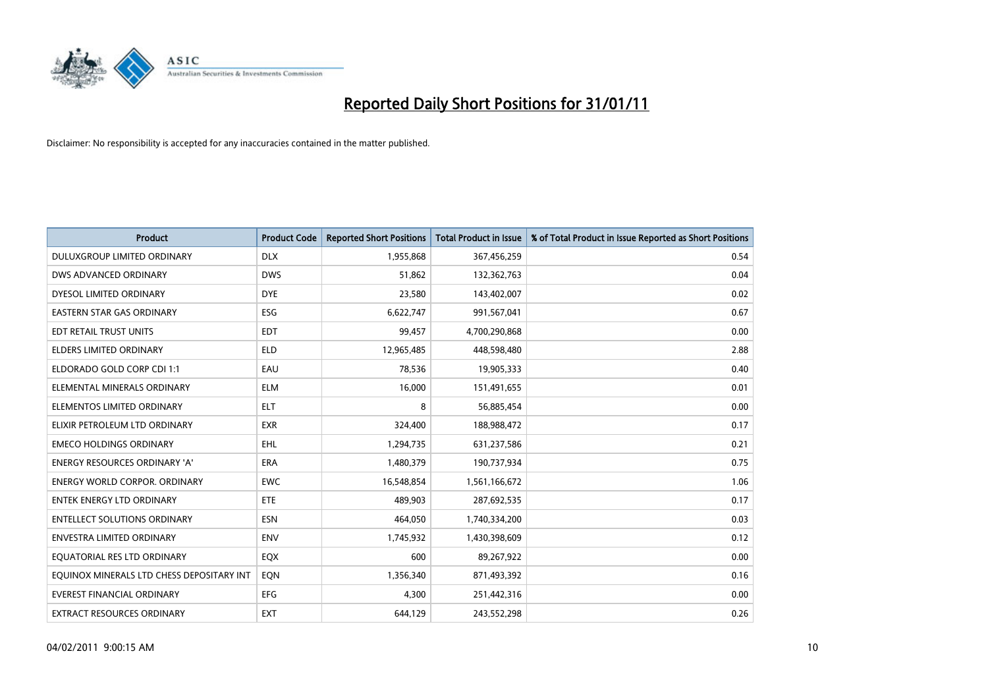

| <b>Product</b>                            | <b>Product Code</b> | <b>Reported Short Positions</b> | Total Product in Issue | % of Total Product in Issue Reported as Short Positions |
|-------------------------------------------|---------------------|---------------------------------|------------------------|---------------------------------------------------------|
| DULUXGROUP LIMITED ORDINARY               | <b>DLX</b>          | 1,955,868                       | 367,456,259            | 0.54                                                    |
| DWS ADVANCED ORDINARY                     | <b>DWS</b>          | 51,862                          | 132,362,763            | 0.04                                                    |
| DYESOL LIMITED ORDINARY                   | <b>DYE</b>          | 23,580                          | 143,402,007            | 0.02                                                    |
| <b>EASTERN STAR GAS ORDINARY</b>          | ESG                 | 6,622,747                       | 991,567,041            | 0.67                                                    |
| EDT RETAIL TRUST UNITS                    | <b>EDT</b>          | 99,457                          | 4,700,290,868          | 0.00                                                    |
| <b>ELDERS LIMITED ORDINARY</b>            | <b>ELD</b>          | 12,965,485                      | 448,598,480            | 2.88                                                    |
| ELDORADO GOLD CORP CDI 1:1                | EAU                 | 78,536                          | 19,905,333             | 0.40                                                    |
| ELEMENTAL MINERALS ORDINARY               | <b>ELM</b>          | 16,000                          | 151,491,655            | 0.01                                                    |
| ELEMENTOS LIMITED ORDINARY                | <b>ELT</b>          | 8                               | 56,885,454             | 0.00                                                    |
| ELIXIR PETROLEUM LTD ORDINARY             | <b>EXR</b>          | 324,400                         | 188,988,472            | 0.17                                                    |
| <b>EMECO HOLDINGS ORDINARY</b>            | <b>EHL</b>          | 1,294,735                       | 631,237,586            | 0.21                                                    |
| <b>ENERGY RESOURCES ORDINARY 'A'</b>      | <b>ERA</b>          | 1,480,379                       | 190,737,934            | 0.75                                                    |
| <b>ENERGY WORLD CORPOR, ORDINARY</b>      | <b>EWC</b>          | 16.548.854                      | 1,561,166,672          | 1.06                                                    |
| <b>ENTEK ENERGY LTD ORDINARY</b>          | ETE                 | 489.903                         | 287,692,535            | 0.17                                                    |
| <b>ENTELLECT SOLUTIONS ORDINARY</b>       | <b>ESN</b>          | 464.050                         | 1,740,334,200          | 0.03                                                    |
| <b>ENVESTRA LIMITED ORDINARY</b>          | <b>ENV</b>          | 1,745,932                       | 1,430,398,609          | 0.12                                                    |
| EQUATORIAL RES LTD ORDINARY               | EQX                 | 600                             | 89,267,922             | 0.00                                                    |
| EQUINOX MINERALS LTD CHESS DEPOSITARY INT | EQN                 | 1,356,340                       | 871,493,392            | 0.16                                                    |
| <b>EVEREST FINANCIAL ORDINARY</b>         | <b>EFG</b>          | 4,300                           | 251,442,316            | 0.00                                                    |
| EXTRACT RESOURCES ORDINARY                | <b>EXT</b>          | 644,129                         | 243,552,298            | 0.26                                                    |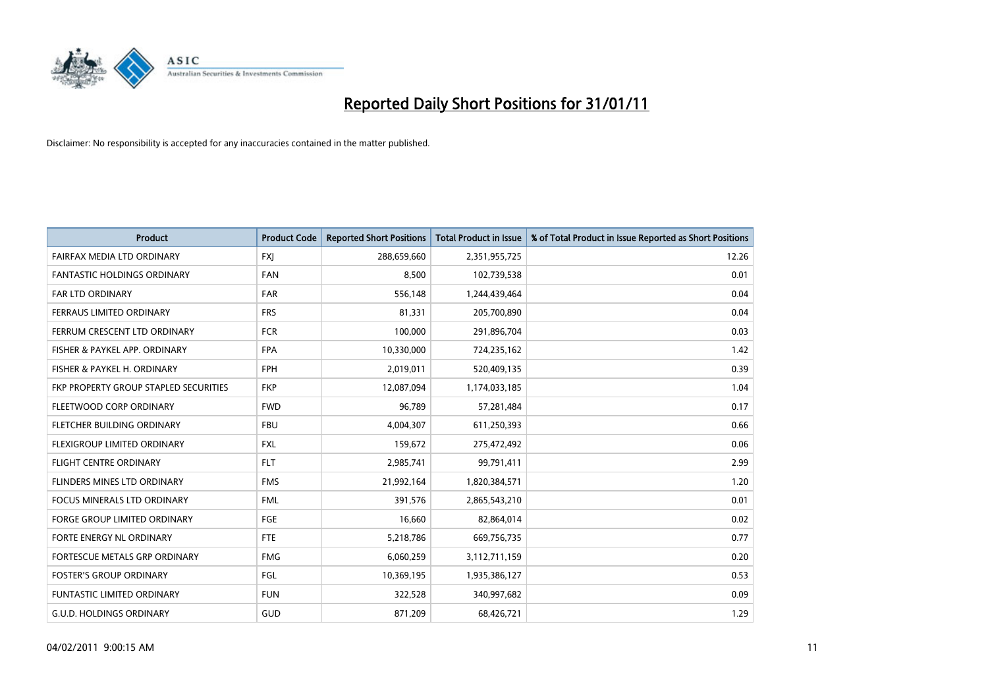

| Product                               | <b>Product Code</b> | <b>Reported Short Positions</b> | <b>Total Product in Issue</b> | % of Total Product in Issue Reported as Short Positions |
|---------------------------------------|---------------------|---------------------------------|-------------------------------|---------------------------------------------------------|
| FAIRFAX MEDIA LTD ORDINARY            | <b>FXJ</b>          | 288,659,660                     | 2,351,955,725                 | 12.26                                                   |
| <b>FANTASTIC HOLDINGS ORDINARY</b>    | <b>FAN</b>          | 8,500                           | 102,739,538                   | 0.01                                                    |
| FAR LTD ORDINARY                      | <b>FAR</b>          | 556,148                         | 1,244,439,464                 | 0.04                                                    |
| FERRAUS LIMITED ORDINARY              | <b>FRS</b>          | 81,331                          | 205,700,890                   | 0.04                                                    |
| FERRUM CRESCENT LTD ORDINARY          | <b>FCR</b>          | 100.000                         | 291,896,704                   | 0.03                                                    |
| FISHER & PAYKEL APP. ORDINARY         | <b>FPA</b>          | 10,330,000                      | 724,235,162                   | 1.42                                                    |
| FISHER & PAYKEL H. ORDINARY           | <b>FPH</b>          | 2,019,011                       | 520,409,135                   | 0.39                                                    |
| FKP PROPERTY GROUP STAPLED SECURITIES | <b>FKP</b>          | 12,087,094                      | 1,174,033,185                 | 1.04                                                    |
| FLEETWOOD CORP ORDINARY               | <b>FWD</b>          | 96,789                          | 57,281,484                    | 0.17                                                    |
| FLETCHER BUILDING ORDINARY            | <b>FBU</b>          | 4,004,307                       | 611,250,393                   | 0.66                                                    |
| FLEXIGROUP LIMITED ORDINARY           | <b>FXL</b>          | 159,672                         | 275,472,492                   | 0.06                                                    |
| <b>FLIGHT CENTRE ORDINARY</b>         | <b>FLT</b>          | 2,985,741                       | 99,791,411                    | 2.99                                                    |
| FLINDERS MINES LTD ORDINARY           | <b>FMS</b>          | 21,992,164                      | 1,820,384,571                 | 1.20                                                    |
| <b>FOCUS MINERALS LTD ORDINARY</b>    | <b>FML</b>          | 391.576                         | 2,865,543,210                 | 0.01                                                    |
| <b>FORGE GROUP LIMITED ORDINARY</b>   | FGE                 | 16,660                          | 82,864,014                    | 0.02                                                    |
| FORTE ENERGY NL ORDINARY              | <b>FTE</b>          | 5,218,786                       | 669,756,735                   | 0.77                                                    |
| FORTESCUE METALS GRP ORDINARY         | <b>FMG</b>          | 6,060,259                       | 3,112,711,159                 | 0.20                                                    |
| <b>FOSTER'S GROUP ORDINARY</b>        | <b>FGL</b>          | 10,369,195                      | 1,935,386,127                 | 0.53                                                    |
| <b>FUNTASTIC LIMITED ORDINARY</b>     | <b>FUN</b>          | 322,528                         | 340,997,682                   | 0.09                                                    |
| <b>G.U.D. HOLDINGS ORDINARY</b>       | <b>GUD</b>          | 871,209                         | 68,426,721                    | 1.29                                                    |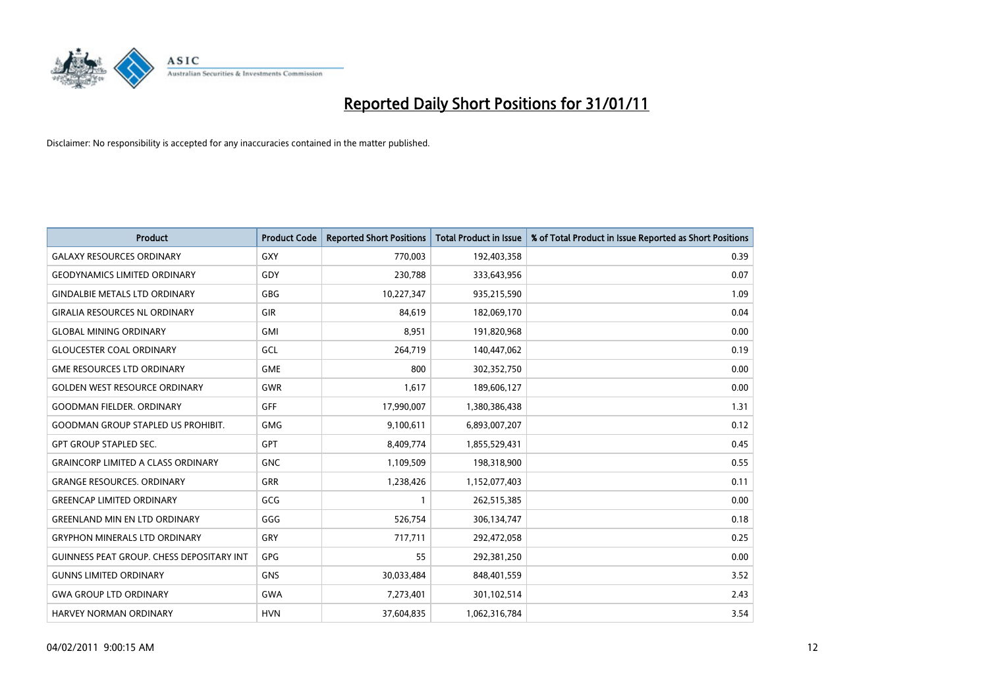

| <b>Product</b>                            | <b>Product Code</b> | <b>Reported Short Positions</b> | <b>Total Product in Issue</b> | % of Total Product in Issue Reported as Short Positions |
|-------------------------------------------|---------------------|---------------------------------|-------------------------------|---------------------------------------------------------|
| <b>GALAXY RESOURCES ORDINARY</b>          | <b>GXY</b>          | 770,003                         | 192,403,358                   | 0.39                                                    |
| <b>GEODYNAMICS LIMITED ORDINARY</b>       | GDY                 | 230,788                         | 333,643,956                   | 0.07                                                    |
| <b>GINDALBIE METALS LTD ORDINARY</b>      | <b>GBG</b>          | 10,227,347                      | 935,215,590                   | 1.09                                                    |
| <b>GIRALIA RESOURCES NL ORDINARY</b>      | <b>GIR</b>          | 84,619                          | 182,069,170                   | 0.04                                                    |
| <b>GLOBAL MINING ORDINARY</b>             | <b>GMI</b>          | 8,951                           | 191,820,968                   | 0.00                                                    |
| <b>GLOUCESTER COAL ORDINARY</b>           | <b>GCL</b>          | 264,719                         | 140,447,062                   | 0.19                                                    |
| <b>GME RESOURCES LTD ORDINARY</b>         | <b>GME</b>          | 800                             | 302,352,750                   | 0.00                                                    |
| <b>GOLDEN WEST RESOURCE ORDINARY</b>      | GWR                 | 1,617                           | 189,606,127                   | 0.00                                                    |
| <b>GOODMAN FIELDER. ORDINARY</b>          | GFF                 | 17,990,007                      | 1,380,386,438                 | 1.31                                                    |
| <b>GOODMAN GROUP STAPLED US PROHIBIT.</b> | <b>GMG</b>          | 9,100,611                       | 6,893,007,207                 | 0.12                                                    |
| <b>GPT GROUP STAPLED SEC.</b>             | <b>GPT</b>          | 8,409,774                       | 1,855,529,431                 | 0.45                                                    |
| <b>GRAINCORP LIMITED A CLASS ORDINARY</b> | <b>GNC</b>          | 1,109,509                       | 198,318,900                   | 0.55                                                    |
| <b>GRANGE RESOURCES. ORDINARY</b>         | <b>GRR</b>          | 1,238,426                       | 1,152,077,403                 | 0.11                                                    |
| <b>GREENCAP LIMITED ORDINARY</b>          | GCG                 |                                 | 262,515,385                   | 0.00                                                    |
| <b>GREENLAND MIN EN LTD ORDINARY</b>      | GGG                 | 526,754                         | 306,134,747                   | 0.18                                                    |
| <b>GRYPHON MINERALS LTD ORDINARY</b>      | GRY                 | 717,711                         | 292,472,058                   | 0.25                                                    |
| GUINNESS PEAT GROUP. CHESS DEPOSITARY INT | <b>GPG</b>          | 55                              | 292,381,250                   | 0.00                                                    |
| <b>GUNNS LIMITED ORDINARY</b>             | <b>GNS</b>          | 30,033,484                      | 848,401,559                   | 3.52                                                    |
| <b>GWA GROUP LTD ORDINARY</b>             | <b>GWA</b>          | 7,273,401                       | 301,102,514                   | 2.43                                                    |
| <b>HARVEY NORMAN ORDINARY</b>             | <b>HVN</b>          | 37,604,835                      | 1,062,316,784                 | 3.54                                                    |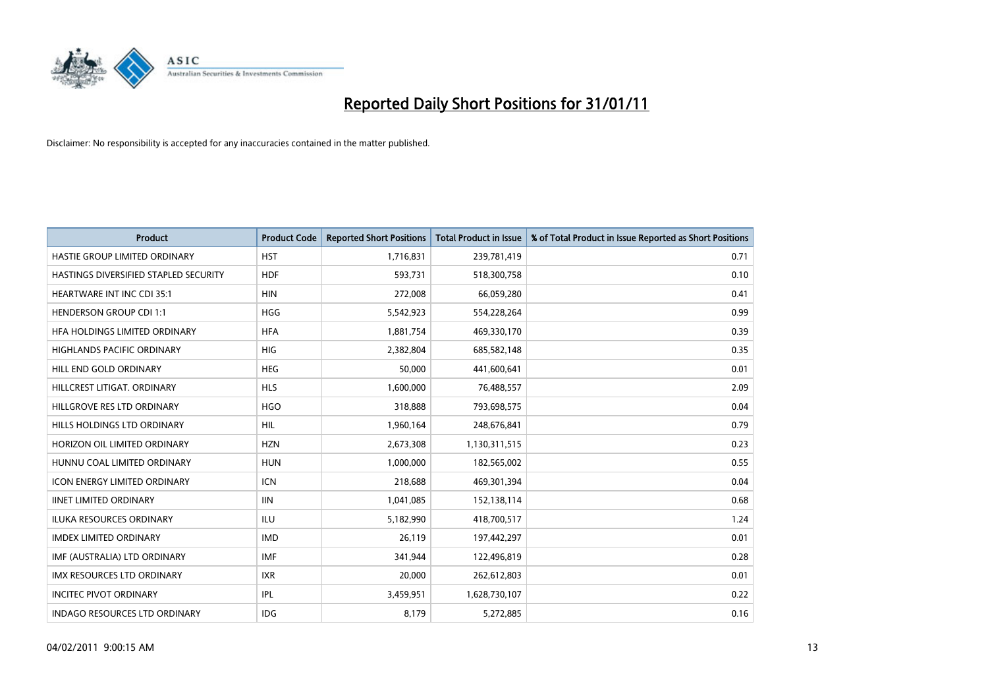

| Product                               | <b>Product Code</b> | <b>Reported Short Positions</b> | <b>Total Product in Issue</b> | % of Total Product in Issue Reported as Short Positions |
|---------------------------------------|---------------------|---------------------------------|-------------------------------|---------------------------------------------------------|
| HASTIE GROUP LIMITED ORDINARY         | <b>HST</b>          | 1,716,831                       | 239,781,419                   | 0.71                                                    |
| HASTINGS DIVERSIFIED STAPLED SECURITY | <b>HDF</b>          | 593,731                         | 518,300,758                   | 0.10                                                    |
| <b>HEARTWARE INT INC CDI 35:1</b>     | <b>HIN</b>          | 272,008                         | 66,059,280                    | 0.41                                                    |
| <b>HENDERSON GROUP CDI 1:1</b>        | <b>HGG</b>          | 5,542,923                       | 554,228,264                   | 0.99                                                    |
| HFA HOLDINGS LIMITED ORDINARY         | <b>HFA</b>          | 1,881,754                       | 469,330,170                   | 0.39                                                    |
| <b>HIGHLANDS PACIFIC ORDINARY</b>     | <b>HIG</b>          | 2,382,804                       | 685,582,148                   | 0.35                                                    |
| HILL END GOLD ORDINARY                | <b>HEG</b>          | 50,000                          | 441,600,641                   | 0.01                                                    |
| HILLCREST LITIGAT, ORDINARY           | <b>HLS</b>          | 1,600,000                       | 76,488,557                    | 2.09                                                    |
| HILLGROVE RES LTD ORDINARY            | <b>HGO</b>          | 318,888                         | 793,698,575                   | 0.04                                                    |
| HILLS HOLDINGS LTD ORDINARY           | <b>HIL</b>          | 1,960,164                       | 248,676,841                   | 0.79                                                    |
| HORIZON OIL LIMITED ORDINARY          | <b>HZN</b>          | 2,673,308                       | 1,130,311,515                 | 0.23                                                    |
| HUNNU COAL LIMITED ORDINARY           | <b>HUN</b>          | 1,000,000                       | 182,565,002                   | 0.55                                                    |
| <b>ICON ENERGY LIMITED ORDINARY</b>   | <b>ICN</b>          | 218,688                         | 469,301,394                   | 0.04                                                    |
| <b>IINET LIMITED ORDINARY</b>         | <b>IIN</b>          | 1,041,085                       | 152,138,114                   | 0.68                                                    |
| <b>ILUKA RESOURCES ORDINARY</b>       | ILU                 | 5,182,990                       | 418,700,517                   | 1.24                                                    |
| <b>IMDEX LIMITED ORDINARY</b>         | <b>IMD</b>          | 26,119                          | 197,442,297                   | 0.01                                                    |
| IMF (AUSTRALIA) LTD ORDINARY          | <b>IMF</b>          | 341,944                         | 122,496,819                   | 0.28                                                    |
| IMX RESOURCES LTD ORDINARY            | <b>IXR</b>          | 20,000                          | 262,612,803                   | 0.01                                                    |
| <b>INCITEC PIVOT ORDINARY</b>         | IPL                 | 3,459,951                       | 1,628,730,107                 | 0.22                                                    |
| INDAGO RESOURCES LTD ORDINARY         | <b>IDG</b>          | 8,179                           | 5,272,885                     | 0.16                                                    |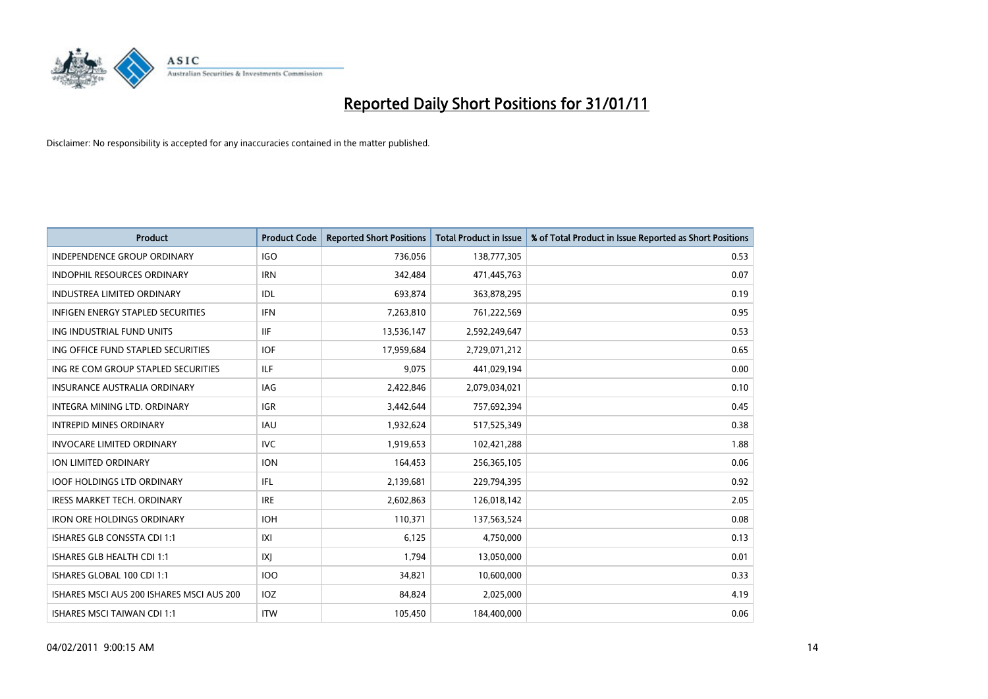

| <b>Product</b>                            | <b>Product Code</b> | <b>Reported Short Positions</b> | <b>Total Product in Issue</b> | % of Total Product in Issue Reported as Short Positions |
|-------------------------------------------|---------------------|---------------------------------|-------------------------------|---------------------------------------------------------|
| <b>INDEPENDENCE GROUP ORDINARY</b>        | <b>IGO</b>          | 736,056                         | 138,777,305                   | 0.53                                                    |
| INDOPHIL RESOURCES ORDINARY               | <b>IRN</b>          | 342,484                         | 471,445,763                   | 0.07                                                    |
| <b>INDUSTREA LIMITED ORDINARY</b>         | IDL                 | 693,874                         | 363,878,295                   | 0.19                                                    |
| INFIGEN ENERGY STAPLED SECURITIES         | <b>IFN</b>          | 7,263,810                       | 761,222,569                   | 0.95                                                    |
| ING INDUSTRIAL FUND UNITS                 | <b>IIF</b>          | 13,536,147                      | 2,592,249,647                 | 0.53                                                    |
| ING OFFICE FUND STAPLED SECURITIES        | <b>IOF</b>          | 17,959,684                      | 2,729,071,212                 | 0.65                                                    |
| ING RE COM GROUP STAPLED SECURITIES       | ILF.                | 9,075                           | 441,029,194                   | 0.00                                                    |
| INSURANCE AUSTRALIA ORDINARY              | IAG                 | 2,422,846                       | 2,079,034,021                 | 0.10                                                    |
| INTEGRA MINING LTD, ORDINARY              | <b>IGR</b>          | 3,442,644                       | 757,692,394                   | 0.45                                                    |
| <b>INTREPID MINES ORDINARY</b>            | <b>IAU</b>          | 1,932,624                       | 517,525,349                   | 0.38                                                    |
| <b>INVOCARE LIMITED ORDINARY</b>          | <b>IVC</b>          | 1,919,653                       | 102,421,288                   | 1.88                                                    |
| ION LIMITED ORDINARY                      | <b>ION</b>          | 164,453                         | 256,365,105                   | 0.06                                                    |
| <b>IOOF HOLDINGS LTD ORDINARY</b>         | IFL.                | 2,139,681                       | 229,794,395                   | 0.92                                                    |
| <b>IRESS MARKET TECH. ORDINARY</b>        | <b>IRE</b>          | 2,602,863                       | 126,018,142                   | 2.05                                                    |
| <b>IRON ORE HOLDINGS ORDINARY</b>         | <b>IOH</b>          | 110,371                         | 137,563,524                   | 0.08                                                    |
| <b>ISHARES GLB CONSSTA CDI 1:1</b>        | X                   | 6,125                           | 4,750,000                     | 0.13                                                    |
| ISHARES GLB HEALTH CDI 1:1                | X                   | 1,794                           | 13,050,000                    | 0.01                                                    |
| ISHARES GLOBAL 100 CDI 1:1                | <b>IOO</b>          | 34,821                          | 10,600,000                    | 0.33                                                    |
| ISHARES MSCI AUS 200 ISHARES MSCI AUS 200 | IOZ                 | 84,824                          | 2,025,000                     | 4.19                                                    |
| ISHARES MSCI TAIWAN CDI 1:1               | <b>ITW</b>          | 105,450                         | 184,400,000                   | 0.06                                                    |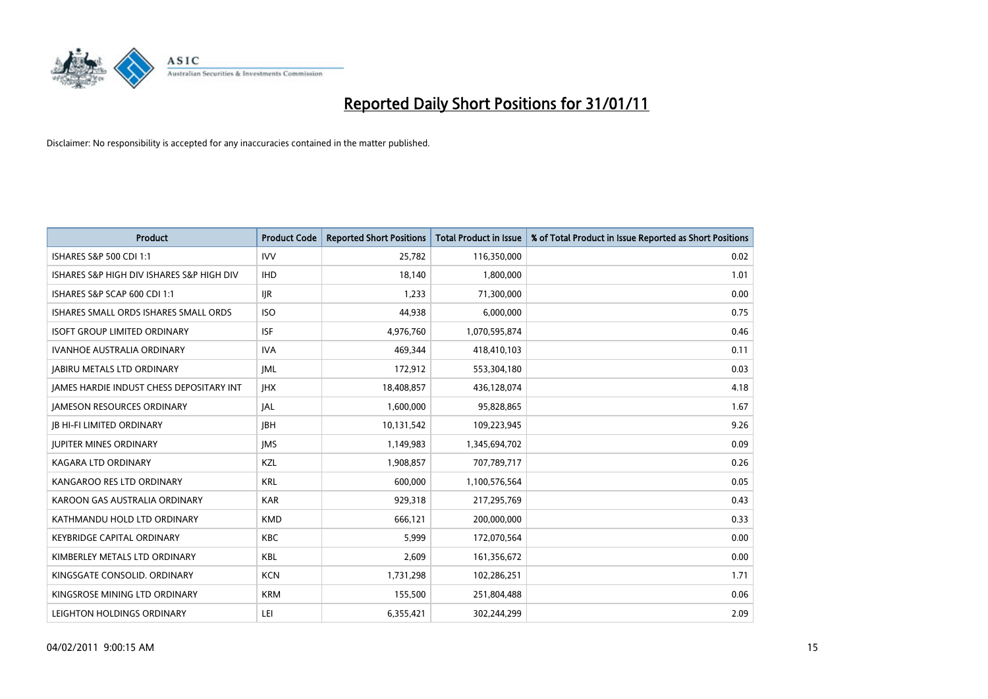

| <b>Product</b>                            | <b>Product Code</b> | <b>Reported Short Positions</b> | Total Product in Issue | % of Total Product in Issue Reported as Short Positions |
|-------------------------------------------|---------------------|---------------------------------|------------------------|---------------------------------------------------------|
| <b>ISHARES S&amp;P 500 CDI 1:1</b>        | <b>IVV</b>          | 25,782                          | 116,350,000            | 0.02                                                    |
| ISHARES S&P HIGH DIV ISHARES S&P HIGH DIV | <b>IHD</b>          | 18.140                          | 1,800,000              | 1.01                                                    |
| ISHARES S&P SCAP 600 CDI 1:1              | <b>IJR</b>          | 1,233                           | 71,300,000             | 0.00                                                    |
| ISHARES SMALL ORDS ISHARES SMALL ORDS     | <b>ISO</b>          | 44,938                          | 6,000,000              | 0.75                                                    |
| <b>ISOFT GROUP LIMITED ORDINARY</b>       | <b>ISF</b>          | 4,976,760                       | 1,070,595,874          | 0.46                                                    |
| <b>IVANHOE AUSTRALIA ORDINARY</b>         | <b>IVA</b>          | 469.344                         | 418,410,103            | 0.11                                                    |
| <b>JABIRU METALS LTD ORDINARY</b>         | <b>IML</b>          | 172,912                         | 553,304,180            | 0.03                                                    |
| JAMES HARDIE INDUST CHESS DEPOSITARY INT  | <b>IHX</b>          | 18,408,857                      | 436,128,074            | 4.18                                                    |
| JAMESON RESOURCES ORDINARY                | JAL                 | 1,600,000                       | 95,828,865             | 1.67                                                    |
| <b>IB HI-FI LIMITED ORDINARY</b>          | <b>IBH</b>          | 10,131,542                      | 109,223,945            | 9.26                                                    |
| <b>JUPITER MINES ORDINARY</b>             | <b>IMS</b>          | 1,149,983                       | 1,345,694,702          | 0.09                                                    |
| <b>KAGARA LTD ORDINARY</b>                | KZL                 | 1,908,857                       | 707,789,717            | 0.26                                                    |
| KANGAROO RES LTD ORDINARY                 | <b>KRL</b>          | 600.000                         | 1,100,576,564          | 0.05                                                    |
| KAROON GAS AUSTRALIA ORDINARY             | <b>KAR</b>          | 929,318                         | 217,295,769            | 0.43                                                    |
| KATHMANDU HOLD LTD ORDINARY               | <b>KMD</b>          | 666,121                         | 200,000,000            | 0.33                                                    |
| <b>KEYBRIDGE CAPITAL ORDINARY</b>         | <b>KBC</b>          | 5,999                           | 172,070,564            | 0.00                                                    |
| KIMBERLEY METALS LTD ORDINARY             | <b>KBL</b>          | 2,609                           | 161,356,672            | 0.00                                                    |
| KINGSGATE CONSOLID. ORDINARY              | <b>KCN</b>          | 1,731,298                       | 102,286,251            | 1.71                                                    |
| KINGSROSE MINING LTD ORDINARY             | <b>KRM</b>          | 155,500                         | 251,804,488            | 0.06                                                    |
| LEIGHTON HOLDINGS ORDINARY                | LEI                 | 6,355,421                       | 302,244,299            | 2.09                                                    |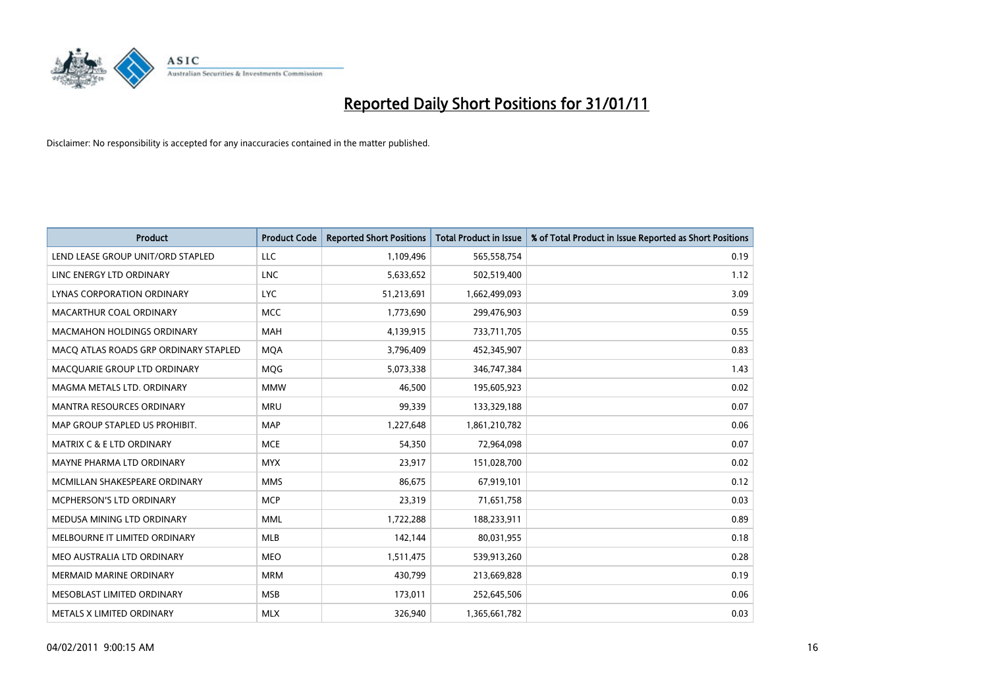

| <b>Product</b>                        | <b>Product Code</b> | <b>Reported Short Positions</b> | Total Product in Issue | % of Total Product in Issue Reported as Short Positions |
|---------------------------------------|---------------------|---------------------------------|------------------------|---------------------------------------------------------|
| LEND LEASE GROUP UNIT/ORD STAPLED     | <b>LLC</b>          | 1,109,496                       | 565,558,754            | 0.19                                                    |
| LINC ENERGY LTD ORDINARY              | <b>LNC</b>          | 5,633,652                       | 502,519,400            | 1.12                                                    |
| LYNAS CORPORATION ORDINARY            | <b>LYC</b>          | 51,213,691                      | 1,662,499,093          | 3.09                                                    |
| MACARTHUR COAL ORDINARY               | <b>MCC</b>          | 1,773,690                       | 299,476,903            | 0.59                                                    |
| <b>MACMAHON HOLDINGS ORDINARY</b>     | <b>MAH</b>          | 4,139,915                       | 733,711,705            | 0.55                                                    |
| MACQ ATLAS ROADS GRP ORDINARY STAPLED | <b>MQA</b>          | 3,796,409                       | 452,345,907            | 0.83                                                    |
| MACQUARIE GROUP LTD ORDINARY          | MQG                 | 5,073,338                       | 346,747,384            | 1.43                                                    |
| MAGMA METALS LTD. ORDINARY            | <b>MMW</b>          | 46,500                          | 195,605,923            | 0.02                                                    |
| <b>MANTRA RESOURCES ORDINARY</b>      | <b>MRU</b>          | 99,339                          | 133,329,188            | 0.07                                                    |
| MAP GROUP STAPLED US PROHIBIT.        | <b>MAP</b>          | 1,227,648                       | 1,861,210,782          | 0.06                                                    |
| <b>MATRIX C &amp; E LTD ORDINARY</b>  | <b>MCE</b>          | 54,350                          | 72,964,098             | 0.07                                                    |
| MAYNE PHARMA LTD ORDINARY             | <b>MYX</b>          | 23,917                          | 151,028,700            | 0.02                                                    |
| MCMILLAN SHAKESPEARE ORDINARY         | <b>MMS</b>          | 86,675                          | 67,919,101             | 0.12                                                    |
| <b>MCPHERSON'S LTD ORDINARY</b>       | <b>MCP</b>          | 23,319                          | 71,651,758             | 0.03                                                    |
| MEDUSA MINING LTD ORDINARY            | <b>MML</b>          | 1,722,288                       | 188,233,911            | 0.89                                                    |
| MELBOURNE IT LIMITED ORDINARY         | <b>MLB</b>          | 142,144                         | 80,031,955             | 0.18                                                    |
| MEO AUSTRALIA LTD ORDINARY            | <b>MEO</b>          | 1,511,475                       | 539,913,260            | 0.28                                                    |
| <b>MERMAID MARINE ORDINARY</b>        | <b>MRM</b>          | 430,799                         | 213,669,828            | 0.19                                                    |
| MESOBLAST LIMITED ORDINARY            | <b>MSB</b>          | 173,011                         | 252,645,506            | 0.06                                                    |
| METALS X LIMITED ORDINARY             | <b>MLX</b>          | 326,940                         | 1,365,661,782          | 0.03                                                    |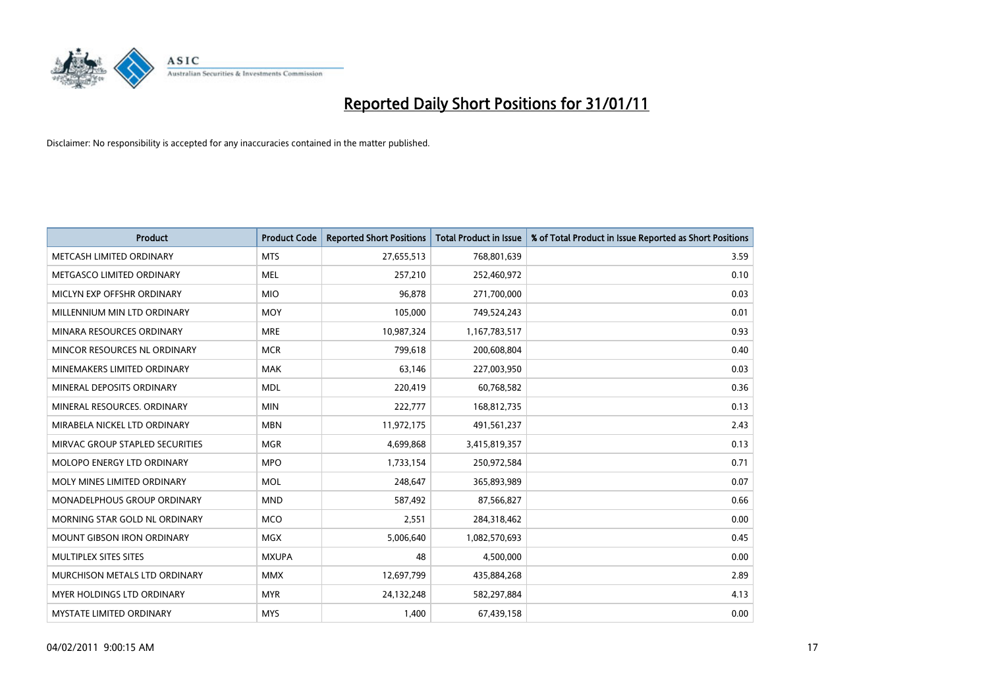

| <b>Product</b>                  | <b>Product Code</b> | <b>Reported Short Positions</b> | <b>Total Product in Issue</b> | % of Total Product in Issue Reported as Short Positions |
|---------------------------------|---------------------|---------------------------------|-------------------------------|---------------------------------------------------------|
| METCASH LIMITED ORDINARY        | <b>MTS</b>          | 27,655,513                      | 768,801,639                   | 3.59                                                    |
| METGASCO LIMITED ORDINARY       | <b>MEL</b>          | 257,210                         | 252,460,972                   | 0.10                                                    |
| MICLYN EXP OFFSHR ORDINARY      | <b>MIO</b>          | 96,878                          | 271,700,000                   | 0.03                                                    |
| MILLENNIUM MIN LTD ORDINARY     | <b>MOY</b>          | 105,000                         | 749,524,243                   | 0.01                                                    |
| MINARA RESOURCES ORDINARY       | <b>MRE</b>          | 10,987,324                      | 1,167,783,517                 | 0.93                                                    |
| MINCOR RESOURCES NL ORDINARY    | <b>MCR</b>          | 799,618                         | 200,608,804                   | 0.40                                                    |
| MINEMAKERS LIMITED ORDINARY     | <b>MAK</b>          | 63,146                          | 227,003,950                   | 0.03                                                    |
| MINERAL DEPOSITS ORDINARY       | <b>MDL</b>          | 220,419                         | 60,768,582                    | 0.36                                                    |
| MINERAL RESOURCES, ORDINARY     | <b>MIN</b>          | 222,777                         | 168,812,735                   | 0.13                                                    |
| MIRABELA NICKEL LTD ORDINARY    | <b>MBN</b>          | 11,972,175                      | 491,561,237                   | 2.43                                                    |
| MIRVAC GROUP STAPLED SECURITIES | <b>MGR</b>          | 4,699,868                       | 3,415,819,357                 | 0.13                                                    |
| MOLOPO ENERGY LTD ORDINARY      | <b>MPO</b>          | 1,733,154                       | 250,972,584                   | 0.71                                                    |
| MOLY MINES LIMITED ORDINARY     | <b>MOL</b>          | 248,647                         | 365,893,989                   | 0.07                                                    |
| MONADELPHOUS GROUP ORDINARY     | <b>MND</b>          | 587,492                         | 87,566,827                    | 0.66                                                    |
| MORNING STAR GOLD NL ORDINARY   | <b>MCO</b>          | 2,551                           | 284,318,462                   | 0.00                                                    |
| MOUNT GIBSON IRON ORDINARY      | <b>MGX</b>          | 5,006,640                       | 1,082,570,693                 | 0.45                                                    |
| MULTIPLEX SITES SITES           | <b>MXUPA</b>        | 48                              | 4,500,000                     | 0.00                                                    |
| MURCHISON METALS LTD ORDINARY   | <b>MMX</b>          | 12,697,799                      | 435,884,268                   | 2.89                                                    |
| MYER HOLDINGS LTD ORDINARY      | <b>MYR</b>          | 24,132,248                      | 582,297,884                   | 4.13                                                    |
| <b>MYSTATE LIMITED ORDINARY</b> | <b>MYS</b>          | 1,400                           | 67,439,158                    | 0.00                                                    |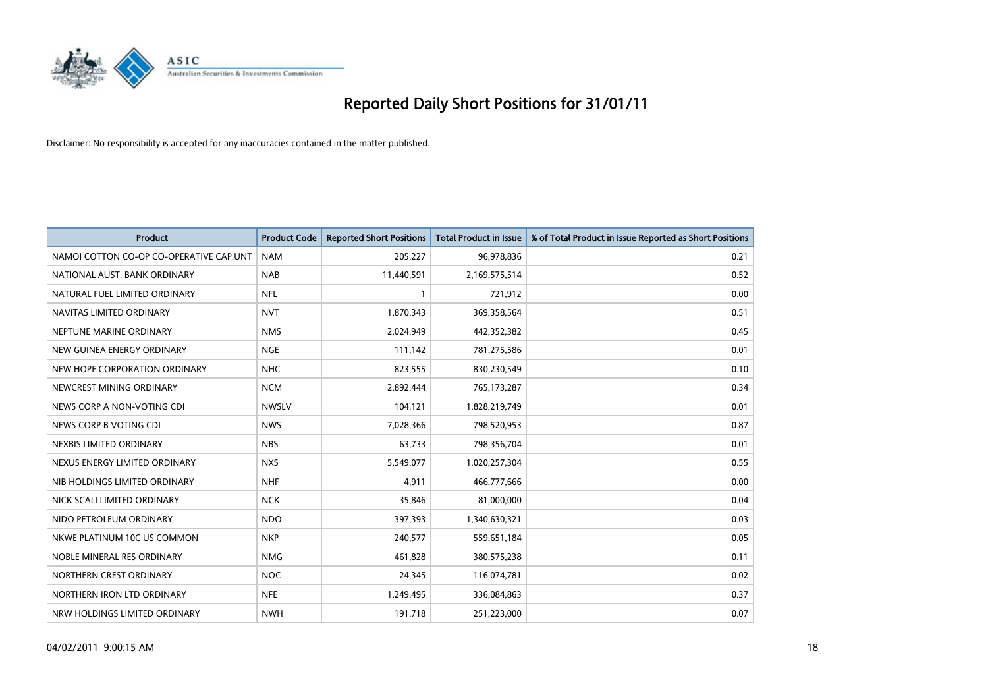

| <b>Product</b>                          | <b>Product Code</b> | <b>Reported Short Positions</b> | <b>Total Product in Issue</b> | % of Total Product in Issue Reported as Short Positions |
|-----------------------------------------|---------------------|---------------------------------|-------------------------------|---------------------------------------------------------|
| NAMOI COTTON CO-OP CO-OPERATIVE CAP.UNT | <b>NAM</b>          | 205,227                         | 96,978,836                    | 0.21                                                    |
| NATIONAL AUST, BANK ORDINARY            | <b>NAB</b>          | 11,440,591                      | 2,169,575,514                 | 0.52                                                    |
| NATURAL FUEL LIMITED ORDINARY           | <b>NFL</b>          | 1                               | 721,912                       | 0.00                                                    |
| NAVITAS LIMITED ORDINARY                | <b>NVT</b>          | 1,870,343                       | 369,358,564                   | 0.51                                                    |
| NEPTUNE MARINE ORDINARY                 | <b>NMS</b>          | 2,024,949                       | 442,352,382                   | 0.45                                                    |
| NEW GUINEA ENERGY ORDINARY              | <b>NGE</b>          | 111,142                         | 781,275,586                   | 0.01                                                    |
| NEW HOPE CORPORATION ORDINARY           | <b>NHC</b>          | 823,555                         | 830,230,549                   | 0.10                                                    |
| NEWCREST MINING ORDINARY                | <b>NCM</b>          | 2,892,444                       | 765,173,287                   | 0.34                                                    |
| NEWS CORP A NON-VOTING CDI              | <b>NWSLV</b>        | 104,121                         | 1,828,219,749                 | 0.01                                                    |
| NEWS CORP B VOTING CDI                  | <b>NWS</b>          | 7,028,366                       | 798,520,953                   | 0.87                                                    |
| NEXBIS LIMITED ORDINARY                 | <b>NBS</b>          | 63,733                          | 798,356,704                   | 0.01                                                    |
| NEXUS ENERGY LIMITED ORDINARY           | <b>NXS</b>          | 5,549,077                       | 1,020,257,304                 | 0.55                                                    |
| NIB HOLDINGS LIMITED ORDINARY           | <b>NHF</b>          | 4,911                           | 466,777,666                   | 0.00                                                    |
| NICK SCALI LIMITED ORDINARY             | <b>NCK</b>          | 35,846                          | 81,000,000                    | 0.04                                                    |
| NIDO PETROLEUM ORDINARY                 | <b>NDO</b>          | 397,393                         | 1,340,630,321                 | 0.03                                                    |
| NKWE PLATINUM 10C US COMMON             | <b>NKP</b>          | 240,577                         | 559,651,184                   | 0.05                                                    |
| NOBLE MINERAL RES ORDINARY              | <b>NMG</b>          | 461,828                         | 380,575,238                   | 0.11                                                    |
| NORTHERN CREST ORDINARY                 | <b>NOC</b>          | 24,345                          | 116,074,781                   | 0.02                                                    |
| NORTHERN IRON LTD ORDINARY              | <b>NFE</b>          | 1,249,495                       | 336,084,863                   | 0.37                                                    |
| NRW HOLDINGS LIMITED ORDINARY           | <b>NWH</b>          | 191,718                         | 251,223,000                   | 0.07                                                    |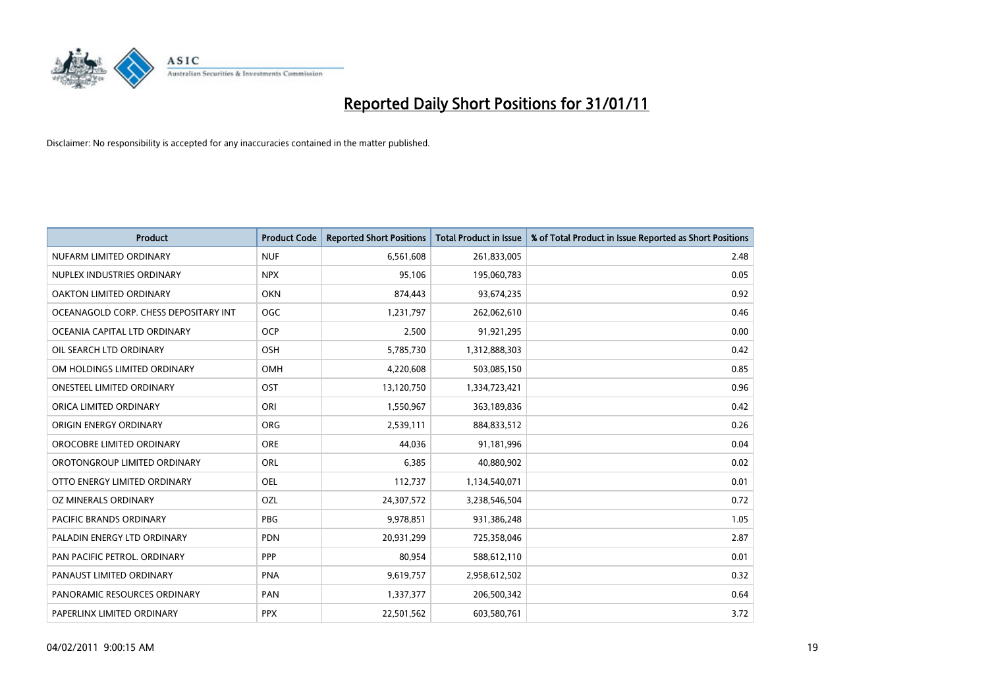

| Product                               | <b>Product Code</b> | <b>Reported Short Positions</b> | <b>Total Product in Issue</b> | % of Total Product in Issue Reported as Short Positions |
|---------------------------------------|---------------------|---------------------------------|-------------------------------|---------------------------------------------------------|
| NUFARM LIMITED ORDINARY               | <b>NUF</b>          | 6,561,608                       | 261,833,005                   | 2.48                                                    |
| NUPLEX INDUSTRIES ORDINARY            | <b>NPX</b>          | 95,106                          | 195,060,783                   | 0.05                                                    |
| OAKTON LIMITED ORDINARY               | <b>OKN</b>          | 874,443                         | 93,674,235                    | 0.92                                                    |
| OCEANAGOLD CORP. CHESS DEPOSITARY INT | <b>OGC</b>          | 1,231,797                       | 262,062,610                   | 0.46                                                    |
| OCEANIA CAPITAL LTD ORDINARY          | <b>OCP</b>          | 2,500                           | 91,921,295                    | 0.00                                                    |
| OIL SEARCH LTD ORDINARY               | OSH                 | 5,785,730                       | 1,312,888,303                 | 0.42                                                    |
| OM HOLDINGS LIMITED ORDINARY          | <b>OMH</b>          | 4,220,608                       | 503,085,150                   | 0.85                                                    |
| <b>ONESTEEL LIMITED ORDINARY</b>      | OST                 | 13,120,750                      | 1,334,723,421                 | 0.96                                                    |
| ORICA LIMITED ORDINARY                | ORI                 | 1,550,967                       | 363,189,836                   | 0.42                                                    |
| ORIGIN ENERGY ORDINARY                | <b>ORG</b>          | 2,539,111                       | 884,833,512                   | 0.26                                                    |
| OROCOBRE LIMITED ORDINARY             | <b>ORE</b>          | 44,036                          | 91,181,996                    | 0.04                                                    |
| OROTONGROUP LIMITED ORDINARY          | ORL                 | 6,385                           | 40,880,902                    | 0.02                                                    |
| OTTO ENERGY LIMITED ORDINARY          | <b>OEL</b>          | 112,737                         | 1,134,540,071                 | 0.01                                                    |
| OZ MINERALS ORDINARY                  | OZL                 | 24,307,572                      | 3,238,546,504                 | 0.72                                                    |
| <b>PACIFIC BRANDS ORDINARY</b>        | <b>PBG</b>          | 9,978,851                       | 931,386,248                   | 1.05                                                    |
| PALADIN ENERGY LTD ORDINARY           | <b>PDN</b>          | 20,931,299                      | 725,358,046                   | 2.87                                                    |
| PAN PACIFIC PETROL. ORDINARY          | PPP                 | 80,954                          | 588,612,110                   | 0.01                                                    |
| PANAUST LIMITED ORDINARY              | <b>PNA</b>          | 9,619,757                       | 2,958,612,502                 | 0.32                                                    |
| PANORAMIC RESOURCES ORDINARY          | PAN                 | 1,337,377                       | 206,500,342                   | 0.64                                                    |
| PAPERLINX LIMITED ORDINARY            | <b>PPX</b>          | 22,501,562                      | 603,580,761                   | 3.72                                                    |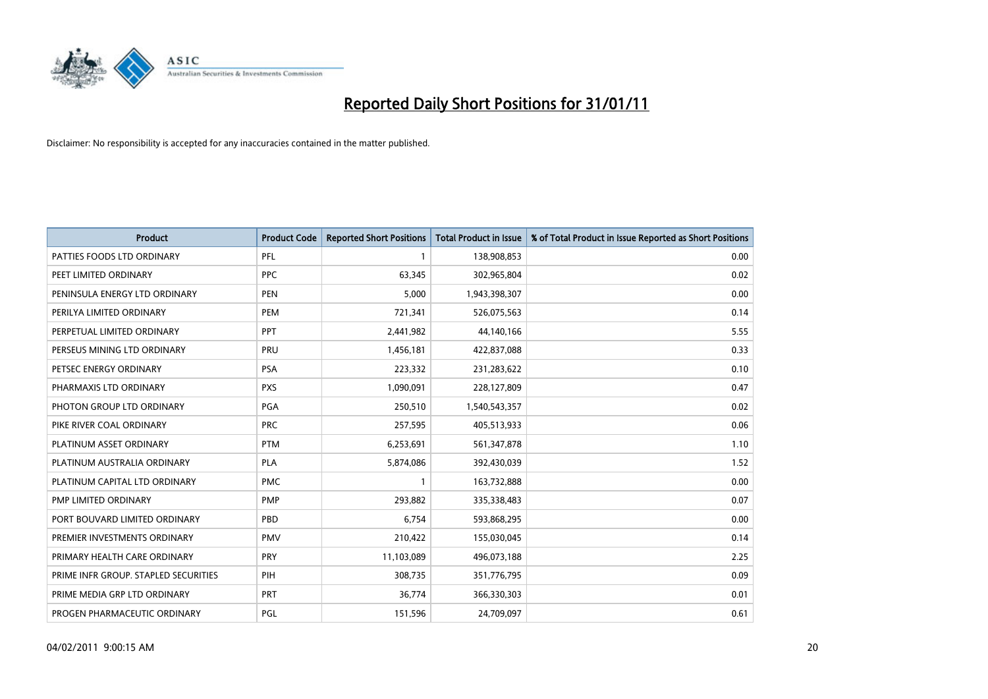

| Product                              | <b>Product Code</b> | <b>Reported Short Positions</b> | <b>Total Product in Issue</b> | % of Total Product in Issue Reported as Short Positions |
|--------------------------------------|---------------------|---------------------------------|-------------------------------|---------------------------------------------------------|
| PATTIES FOODS LTD ORDINARY           | PFL                 |                                 | 138,908,853                   | 0.00                                                    |
| PEET LIMITED ORDINARY                | <b>PPC</b>          | 63,345                          | 302,965,804                   | 0.02                                                    |
| PENINSULA ENERGY LTD ORDINARY        | <b>PEN</b>          | 5,000                           | 1,943,398,307                 | 0.00                                                    |
| PERILYA LIMITED ORDINARY             | PEM                 | 721,341                         | 526,075,563                   | 0.14                                                    |
| PERPETUAL LIMITED ORDINARY           | <b>PPT</b>          | 2,441,982                       | 44,140,166                    | 5.55                                                    |
| PERSEUS MINING LTD ORDINARY          | PRU                 | 1,456,181                       | 422,837,088                   | 0.33                                                    |
| PETSEC ENERGY ORDINARY               | <b>PSA</b>          | 223,332                         | 231,283,622                   | 0.10                                                    |
| PHARMAXIS LTD ORDINARY               | <b>PXS</b>          | 1,090,091                       | 228,127,809                   | 0.47                                                    |
| PHOTON GROUP LTD ORDINARY            | PGA                 | 250,510                         | 1,540,543,357                 | 0.02                                                    |
| PIKE RIVER COAL ORDINARY             | <b>PRC</b>          | 257,595                         | 405,513,933                   | 0.06                                                    |
| PLATINUM ASSET ORDINARY              | <b>PTM</b>          | 6,253,691                       | 561,347,878                   | 1.10                                                    |
| PLATINUM AUSTRALIA ORDINARY          | <b>PLA</b>          | 5,874,086                       | 392,430,039                   | 1.52                                                    |
| PLATINUM CAPITAL LTD ORDINARY        | <b>PMC</b>          |                                 | 163,732,888                   | 0.00                                                    |
| PMP LIMITED ORDINARY                 | <b>PMP</b>          | 293,882                         | 335,338,483                   | 0.07                                                    |
| PORT BOUVARD LIMITED ORDINARY        | PBD                 | 6,754                           | 593,868,295                   | 0.00                                                    |
| PREMIER INVESTMENTS ORDINARY         | <b>PMV</b>          | 210,422                         | 155,030,045                   | 0.14                                                    |
| PRIMARY HEALTH CARE ORDINARY         | <b>PRY</b>          | 11,103,089                      | 496,073,188                   | 2.25                                                    |
| PRIME INFR GROUP. STAPLED SECURITIES | PIH                 | 308,735                         | 351,776,795                   | 0.09                                                    |
| PRIME MEDIA GRP LTD ORDINARY         | <b>PRT</b>          | 36,774                          | 366,330,303                   | 0.01                                                    |
| PROGEN PHARMACEUTIC ORDINARY         | PGL                 | 151,596                         | 24,709,097                    | 0.61                                                    |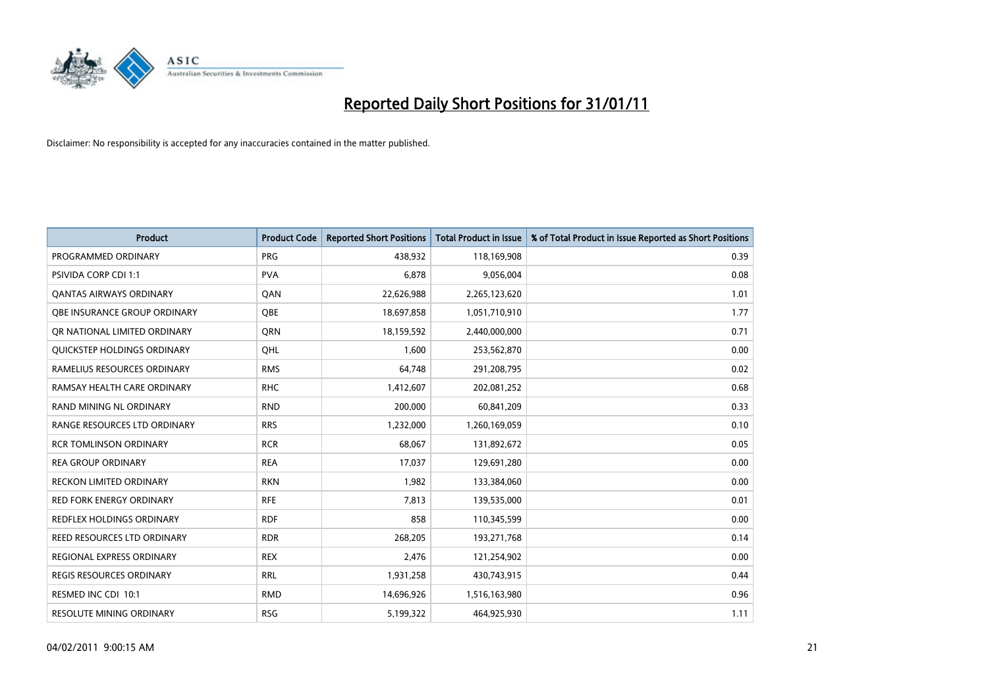

| <b>Product</b>                   | <b>Product Code</b> | <b>Reported Short Positions</b> | <b>Total Product in Issue</b> | % of Total Product in Issue Reported as Short Positions |
|----------------------------------|---------------------|---------------------------------|-------------------------------|---------------------------------------------------------|
| PROGRAMMED ORDINARY              | <b>PRG</b>          | 438,932                         | 118,169,908                   | 0.39                                                    |
| PSIVIDA CORP CDI 1:1             | <b>PVA</b>          | 6,878                           | 9,056,004                     | 0.08                                                    |
| <b>QANTAS AIRWAYS ORDINARY</b>   | QAN                 | 22,626,988                      | 2,265,123,620                 | 1.01                                                    |
| OBE INSURANCE GROUP ORDINARY     | <b>OBE</b>          | 18,697,858                      | 1,051,710,910                 | 1.77                                                    |
| OR NATIONAL LIMITED ORDINARY     | <b>ORN</b>          | 18,159,592                      | 2,440,000,000                 | 0.71                                                    |
| QUICKSTEP HOLDINGS ORDINARY      | OHL                 | 1,600                           | 253,562,870                   | 0.00                                                    |
| RAMELIUS RESOURCES ORDINARY      | <b>RMS</b>          | 64,748                          | 291,208,795                   | 0.02                                                    |
| RAMSAY HEALTH CARE ORDINARY      | <b>RHC</b>          | 1,412,607                       | 202,081,252                   | 0.68                                                    |
| RAND MINING NL ORDINARY          | <b>RND</b>          | 200,000                         | 60,841,209                    | 0.33                                                    |
| RANGE RESOURCES LTD ORDINARY     | <b>RRS</b>          | 1,232,000                       | 1,260,169,059                 | 0.10                                                    |
| <b>RCR TOMLINSON ORDINARY</b>    | <b>RCR</b>          | 68,067                          | 131,892,672                   | 0.05                                                    |
| <b>REA GROUP ORDINARY</b>        | <b>REA</b>          | 17,037                          | 129,691,280                   | 0.00                                                    |
| RECKON LIMITED ORDINARY          | <b>RKN</b>          | 1,982                           | 133,384,060                   | 0.00                                                    |
| <b>RED FORK ENERGY ORDINARY</b>  | <b>RFE</b>          | 7,813                           | 139,535,000                   | 0.01                                                    |
| <b>REDFLEX HOLDINGS ORDINARY</b> | <b>RDF</b>          | 858                             | 110,345,599                   | 0.00                                                    |
| REED RESOURCES LTD ORDINARY      | <b>RDR</b>          | 268,205                         | 193,271,768                   | 0.14                                                    |
| <b>REGIONAL EXPRESS ORDINARY</b> | <b>REX</b>          | 2,476                           | 121,254,902                   | 0.00                                                    |
| REGIS RESOURCES ORDINARY         | <b>RRL</b>          | 1,931,258                       | 430,743,915                   | 0.44                                                    |
| RESMED INC CDI 10:1              | <b>RMD</b>          | 14,696,926                      | 1,516,163,980                 | 0.96                                                    |
| <b>RESOLUTE MINING ORDINARY</b>  | <b>RSG</b>          | 5,199,322                       | 464,925,930                   | 1.11                                                    |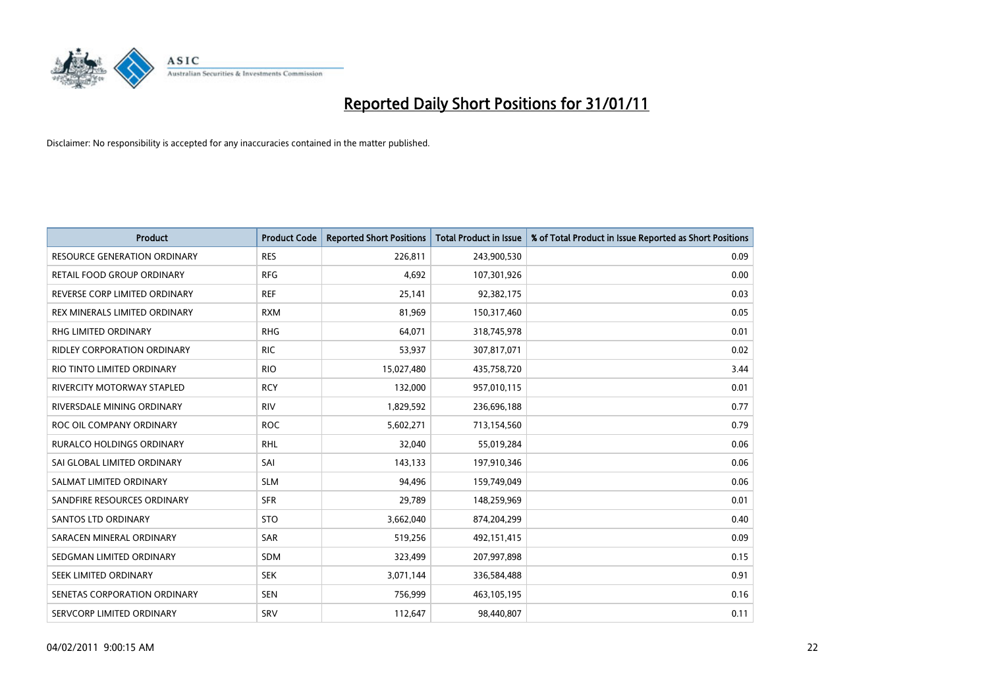

| Product                             | <b>Product Code</b> | <b>Reported Short Positions</b> | <b>Total Product in Issue</b> | % of Total Product in Issue Reported as Short Positions |
|-------------------------------------|---------------------|---------------------------------|-------------------------------|---------------------------------------------------------|
| <b>RESOURCE GENERATION ORDINARY</b> | <b>RES</b>          | 226,811                         | 243,900,530                   | 0.09                                                    |
| RETAIL FOOD GROUP ORDINARY          | <b>RFG</b>          | 4,692                           | 107,301,926                   | 0.00                                                    |
| REVERSE CORP LIMITED ORDINARY       | <b>REF</b>          | 25,141                          | 92,382,175                    | 0.03                                                    |
| REX MINERALS LIMITED ORDINARY       | <b>RXM</b>          | 81,969                          | 150,317,460                   | 0.05                                                    |
| <b>RHG LIMITED ORDINARY</b>         | <b>RHG</b>          | 64,071                          | 318,745,978                   | 0.01                                                    |
| <b>RIDLEY CORPORATION ORDINARY</b>  | <b>RIC</b>          | 53,937                          | 307,817,071                   | 0.02                                                    |
| RIO TINTO LIMITED ORDINARY          | <b>RIO</b>          | 15,027,480                      | 435,758,720                   | 3.44                                                    |
| RIVERCITY MOTORWAY STAPLED          | <b>RCY</b>          | 132,000                         | 957,010,115                   | 0.01                                                    |
| RIVERSDALE MINING ORDINARY          | <b>RIV</b>          | 1,829,592                       | 236,696,188                   | 0.77                                                    |
| ROC OIL COMPANY ORDINARY            | <b>ROC</b>          | 5,602,271                       | 713,154,560                   | 0.79                                                    |
| <b>RURALCO HOLDINGS ORDINARY</b>    | <b>RHL</b>          | 32,040                          | 55,019,284                    | 0.06                                                    |
| SAI GLOBAL LIMITED ORDINARY         | SAI                 | 143,133                         | 197,910,346                   | 0.06                                                    |
| SALMAT LIMITED ORDINARY             | <b>SLM</b>          | 94,496                          | 159,749,049                   | 0.06                                                    |
| SANDFIRE RESOURCES ORDINARY         | <b>SFR</b>          | 29,789                          | 148,259,969                   | 0.01                                                    |
| SANTOS LTD ORDINARY                 | <b>STO</b>          | 3,662,040                       | 874,204,299                   | 0.40                                                    |
| SARACEN MINERAL ORDINARY            | <b>SAR</b>          | 519,256                         | 492,151,415                   | 0.09                                                    |
| SEDGMAN LIMITED ORDINARY            | <b>SDM</b>          | 323,499                         | 207,997,898                   | 0.15                                                    |
| SEEK LIMITED ORDINARY               | <b>SEK</b>          | 3,071,144                       | 336,584,488                   | 0.91                                                    |
| SENETAS CORPORATION ORDINARY        | <b>SEN</b>          | 756,999                         | 463,105,195                   | 0.16                                                    |
| SERVCORP LIMITED ORDINARY           | SRV                 | 112,647                         | 98,440,807                    | 0.11                                                    |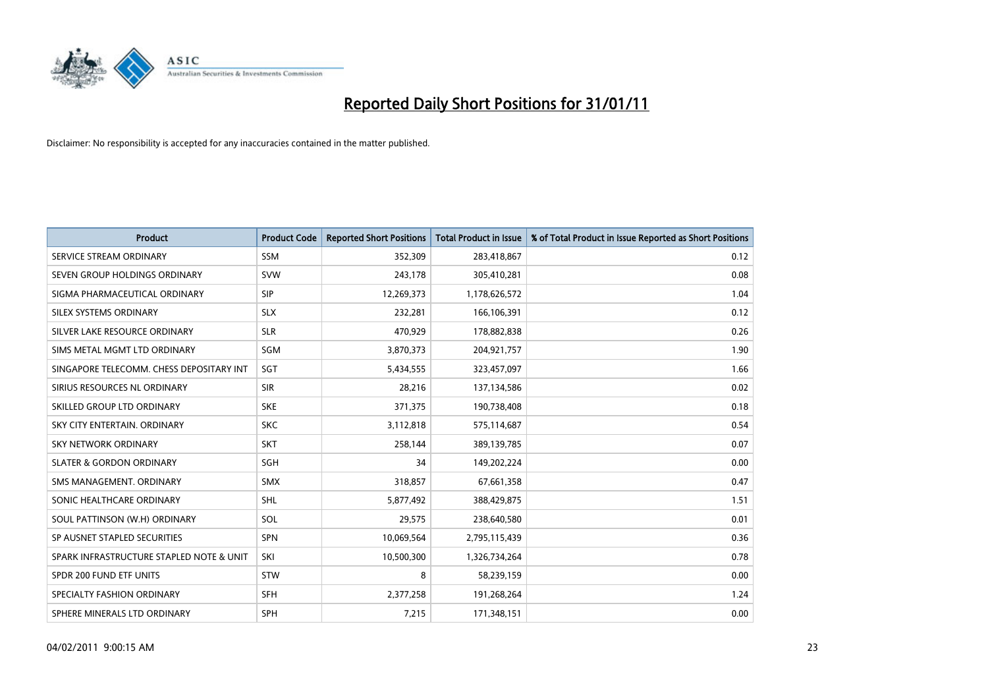

| <b>Product</b>                           | <b>Product Code</b> | <b>Reported Short Positions</b> | Total Product in Issue | % of Total Product in Issue Reported as Short Positions |
|------------------------------------------|---------------------|---------------------------------|------------------------|---------------------------------------------------------|
| SERVICE STREAM ORDINARY                  | <b>SSM</b>          | 352,309                         | 283,418,867            | 0.12                                                    |
| SEVEN GROUP HOLDINGS ORDINARY            | <b>SVW</b>          | 243,178                         | 305,410,281            | 0.08                                                    |
| SIGMA PHARMACEUTICAL ORDINARY            | <b>SIP</b>          | 12,269,373                      | 1,178,626,572          | 1.04                                                    |
| SILEX SYSTEMS ORDINARY                   | <b>SLX</b>          | 232,281                         | 166,106,391            | 0.12                                                    |
| SILVER LAKE RESOURCE ORDINARY            | <b>SLR</b>          | 470,929                         | 178,882,838            | 0.26                                                    |
| SIMS METAL MGMT LTD ORDINARY             | SGM                 | 3,870,373                       | 204,921,757            | 1.90                                                    |
| SINGAPORE TELECOMM. CHESS DEPOSITARY INT | SGT                 | 5,434,555                       | 323,457,097            | 1.66                                                    |
| SIRIUS RESOURCES NL ORDINARY             | <b>SIR</b>          | 28,216                          | 137,134,586            | 0.02                                                    |
| SKILLED GROUP LTD ORDINARY               | <b>SKE</b>          | 371,375                         | 190,738,408            | 0.18                                                    |
| SKY CITY ENTERTAIN, ORDINARY             | <b>SKC</b>          | 3,112,818                       | 575,114,687            | 0.54                                                    |
| SKY NETWORK ORDINARY                     | <b>SKT</b>          | 258,144                         | 389,139,785            | 0.07                                                    |
| <b>SLATER &amp; GORDON ORDINARY</b>      | SGH                 | 34                              | 149,202,224            | 0.00                                                    |
| SMS MANAGEMENT, ORDINARY                 | <b>SMX</b>          | 318,857                         | 67,661,358             | 0.47                                                    |
| SONIC HEALTHCARE ORDINARY                | <b>SHL</b>          | 5,877,492                       | 388,429,875            | 1.51                                                    |
| SOUL PATTINSON (W.H) ORDINARY            | SOL                 | 29,575                          | 238,640,580            | 0.01                                                    |
| SP AUSNET STAPLED SECURITIES             | <b>SPN</b>          | 10,069,564                      | 2,795,115,439          | 0.36                                                    |
| SPARK INFRASTRUCTURE STAPLED NOTE & UNIT | SKI                 | 10,500,300                      | 1,326,734,264          | 0.78                                                    |
| SPDR 200 FUND ETF UNITS                  | <b>STW</b>          | 8                               | 58,239,159             | 0.00                                                    |
| SPECIALTY FASHION ORDINARY               | <b>SFH</b>          | 2,377,258                       | 191,268,264            | 1.24                                                    |
| SPHERE MINERALS LTD ORDINARY             | <b>SPH</b>          | 7,215                           | 171,348,151            | 0.00                                                    |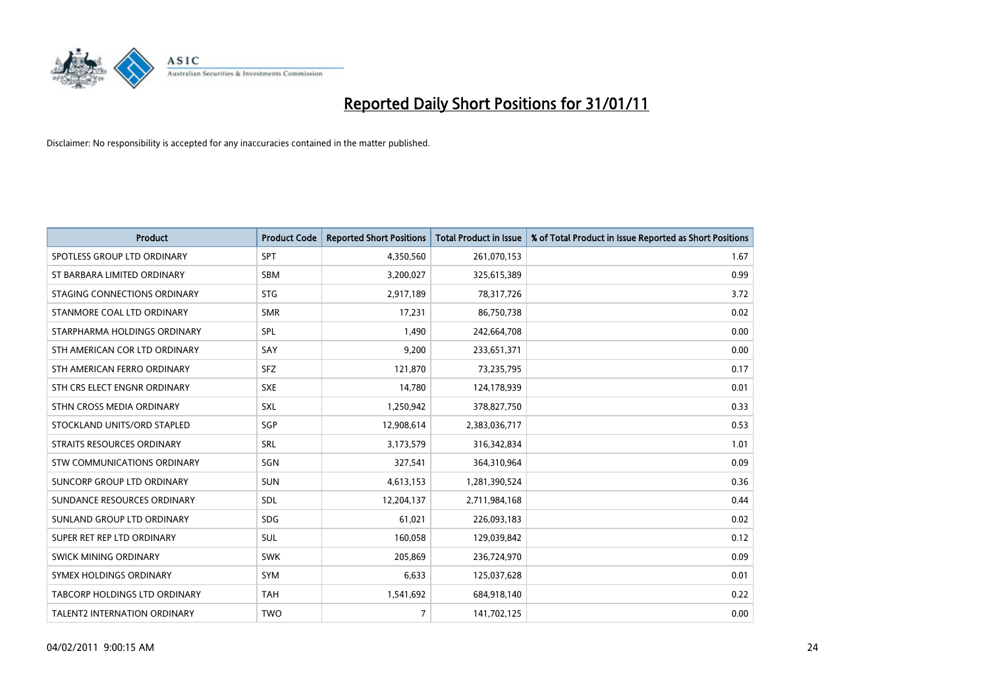

| <b>Product</b>                       | <b>Product Code</b> | <b>Reported Short Positions</b> | Total Product in Issue | % of Total Product in Issue Reported as Short Positions |
|--------------------------------------|---------------------|---------------------------------|------------------------|---------------------------------------------------------|
| SPOTLESS GROUP LTD ORDINARY          | <b>SPT</b>          | 4,350,560                       | 261,070,153            | 1.67                                                    |
| ST BARBARA LIMITED ORDINARY          | <b>SBM</b>          | 3,200,027                       | 325,615,389            | 0.99                                                    |
| STAGING CONNECTIONS ORDINARY         | <b>STG</b>          | 2,917,189                       | 78,317,726             | 3.72                                                    |
| STANMORE COAL LTD ORDINARY           | <b>SMR</b>          | 17,231                          | 86,750,738             | 0.02                                                    |
| STARPHARMA HOLDINGS ORDINARY         | SPL                 | 1,490                           | 242,664,708            | 0.00                                                    |
| STH AMERICAN COR LTD ORDINARY        | SAY                 | 9,200                           | 233,651,371            | 0.00                                                    |
| STH AMERICAN FERRO ORDINARY          | <b>SFZ</b>          | 121,870                         | 73,235,795             | 0.17                                                    |
| STH CRS ELECT ENGNR ORDINARY         | <b>SXE</b>          | 14,780                          | 124,178,939            | 0.01                                                    |
| STHN CROSS MEDIA ORDINARY            | <b>SXL</b>          | 1,250,942                       | 378,827,750            | 0.33                                                    |
| STOCKLAND UNITS/ORD STAPLED          | SGP                 | 12,908,614                      | 2,383,036,717          | 0.53                                                    |
| STRAITS RESOURCES ORDINARY           | SRL                 | 3,173,579                       | 316,342,834            | 1.01                                                    |
| STW COMMUNICATIONS ORDINARY          | SGN                 | 327,541                         | 364,310,964            | 0.09                                                    |
| SUNCORP GROUP LTD ORDINARY           | <b>SUN</b>          | 4,613,153                       | 1,281,390,524          | 0.36                                                    |
| SUNDANCE RESOURCES ORDINARY          | SDL                 | 12,204,137                      | 2,711,984,168          | 0.44                                                    |
| SUNLAND GROUP LTD ORDINARY           | <b>SDG</b>          | 61,021                          | 226,093,183            | 0.02                                                    |
| SUPER RET REP LTD ORDINARY           | SUL                 | 160,058                         | 129,039,842            | 0.12                                                    |
| SWICK MINING ORDINARY                | <b>SWK</b>          | 205,869                         | 236,724,970            | 0.09                                                    |
| SYMEX HOLDINGS ORDINARY              | <b>SYM</b>          | 6,633                           | 125,037,628            | 0.01                                                    |
| <b>TABCORP HOLDINGS LTD ORDINARY</b> | <b>TAH</b>          | 1,541,692                       | 684,918,140            | 0.22                                                    |
| <b>TALENT2 INTERNATION ORDINARY</b>  | <b>TWO</b>          | $\overline{7}$                  | 141,702,125            | 0.00                                                    |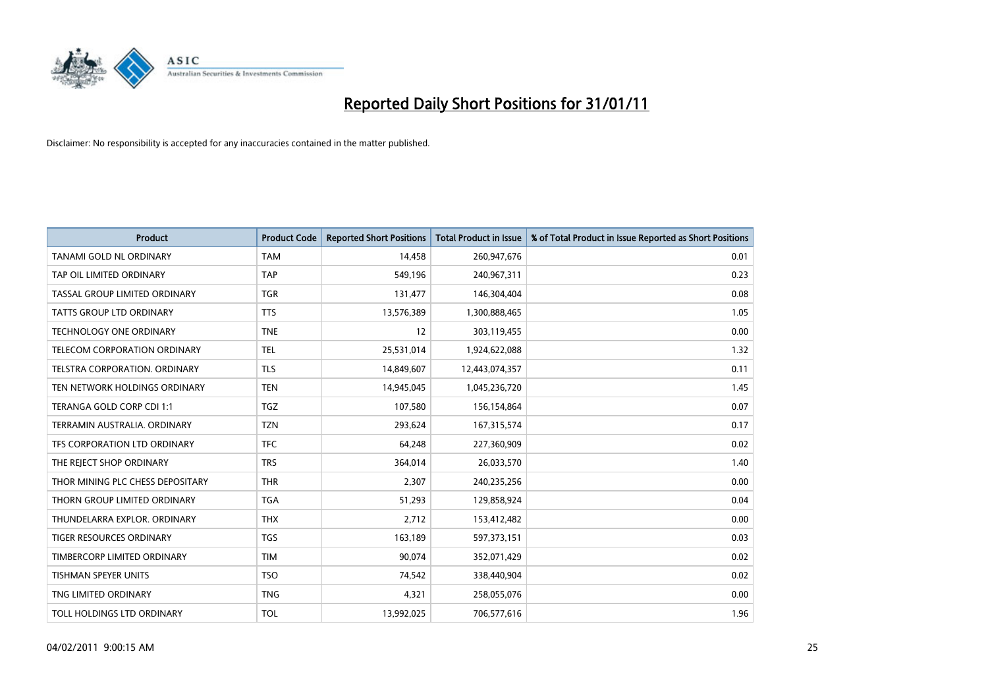

| <b>Product</b>                   | <b>Product Code</b> | <b>Reported Short Positions</b> | Total Product in Issue | % of Total Product in Issue Reported as Short Positions |
|----------------------------------|---------------------|---------------------------------|------------------------|---------------------------------------------------------|
| <b>TANAMI GOLD NL ORDINARY</b>   | <b>TAM</b>          | 14,458                          | 260,947,676            | 0.01                                                    |
| TAP OIL LIMITED ORDINARY         | <b>TAP</b>          | 549,196                         | 240,967,311            | 0.23                                                    |
| TASSAL GROUP LIMITED ORDINARY    | <b>TGR</b>          | 131,477                         | 146,304,404            | 0.08                                                    |
| TATTS GROUP LTD ORDINARY         | <b>TTS</b>          | 13,576,389                      | 1,300,888,465          | 1.05                                                    |
| <b>TECHNOLOGY ONE ORDINARY</b>   | <b>TNE</b>          | 12                              | 303,119,455            | 0.00                                                    |
| TELECOM CORPORATION ORDINARY     | <b>TEL</b>          | 25,531,014                      | 1,924,622,088          | 1.32                                                    |
| TELSTRA CORPORATION, ORDINARY    | <b>TLS</b>          | 14,849,607                      | 12,443,074,357         | 0.11                                                    |
| TEN NETWORK HOLDINGS ORDINARY    | <b>TEN</b>          | 14,945,045                      | 1,045,236,720          | 1.45                                                    |
| TERANGA GOLD CORP CDI 1:1        | TGZ                 | 107,580                         | 156,154,864            | 0.07                                                    |
| TERRAMIN AUSTRALIA, ORDINARY     | <b>TZN</b>          | 293,624                         | 167,315,574            | 0.17                                                    |
| TFS CORPORATION LTD ORDINARY     | <b>TFC</b>          | 64,248                          | 227,360,909            | 0.02                                                    |
| THE REJECT SHOP ORDINARY         | <b>TRS</b>          | 364,014                         | 26,033,570             | 1.40                                                    |
| THOR MINING PLC CHESS DEPOSITARY | <b>THR</b>          | 2,307                           | 240,235,256            | 0.00                                                    |
| THORN GROUP LIMITED ORDINARY     | <b>TGA</b>          | 51,293                          | 129,858,924            | 0.04                                                    |
| THUNDELARRA EXPLOR, ORDINARY     | <b>THX</b>          | 2,712                           | 153,412,482            | 0.00                                                    |
| <b>TIGER RESOURCES ORDINARY</b>  | <b>TGS</b>          | 163,189                         | 597,373,151            | 0.03                                                    |
| TIMBERCORP LIMITED ORDINARY      | <b>TIM</b>          | 90,074                          | 352,071,429            | 0.02                                                    |
| TISHMAN SPEYER UNITS             | <b>TSO</b>          | 74,542                          | 338,440,904            | 0.02                                                    |
| TNG LIMITED ORDINARY             | <b>TNG</b>          | 4,321                           | 258,055,076            | 0.00                                                    |
| TOLL HOLDINGS LTD ORDINARY       | <b>TOL</b>          | 13,992,025                      | 706,577,616            | 1.96                                                    |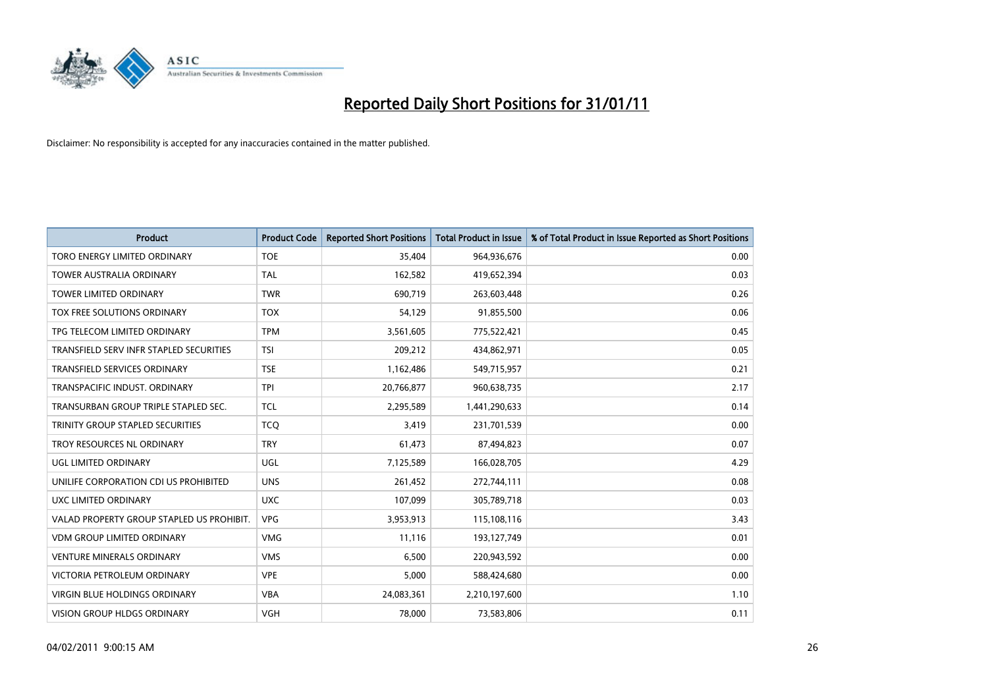

| <b>Product</b>                            | <b>Product Code</b> | <b>Reported Short Positions</b> | Total Product in Issue | % of Total Product in Issue Reported as Short Positions |
|-------------------------------------------|---------------------|---------------------------------|------------------------|---------------------------------------------------------|
| TORO ENERGY LIMITED ORDINARY              | <b>TOE</b>          | 35,404                          | 964,936,676            | 0.00                                                    |
| <b>TOWER AUSTRALIA ORDINARY</b>           | <b>TAL</b>          | 162,582                         | 419,652,394            | 0.03                                                    |
| <b>TOWER LIMITED ORDINARY</b>             | <b>TWR</b>          | 690,719                         | 263,603,448            | 0.26                                                    |
| TOX FREE SOLUTIONS ORDINARY               | <b>TOX</b>          | 54,129                          | 91,855,500             | 0.06                                                    |
| TPG TELECOM LIMITED ORDINARY              | <b>TPM</b>          | 3,561,605                       | 775,522,421            | 0.45                                                    |
| TRANSFIELD SERV INFR STAPLED SECURITIES   | <b>TSI</b>          | 209,212                         | 434,862,971            | 0.05                                                    |
| <b>TRANSFIELD SERVICES ORDINARY</b>       | <b>TSE</b>          | 1,162,486                       | 549,715,957            | 0.21                                                    |
| TRANSPACIFIC INDUST, ORDINARY             | <b>TPI</b>          | 20,766,877                      | 960,638,735            | 2.17                                                    |
| TRANSURBAN GROUP TRIPLE STAPLED SEC.      | <b>TCL</b>          | 2,295,589                       | 1,441,290,633          | 0.14                                                    |
| TRINITY GROUP STAPLED SECURITIES          | <b>TCO</b>          | 3,419                           | 231,701,539            | 0.00                                                    |
| TROY RESOURCES NL ORDINARY                | <b>TRY</b>          | 61,473                          | 87,494,823             | 0.07                                                    |
| UGL LIMITED ORDINARY                      | <b>UGL</b>          | 7,125,589                       | 166,028,705            | 4.29                                                    |
| UNILIFE CORPORATION CDI US PROHIBITED     | <b>UNS</b>          | 261,452                         | 272,744,111            | 0.08                                                    |
| UXC LIMITED ORDINARY                      | <b>UXC</b>          | 107,099                         | 305,789,718            | 0.03                                                    |
| VALAD PROPERTY GROUP STAPLED US PROHIBIT. | <b>VPG</b>          | 3,953,913                       | 115,108,116            | 3.43                                                    |
| <b>VDM GROUP LIMITED ORDINARY</b>         | <b>VMG</b>          | 11,116                          | 193,127,749            | 0.01                                                    |
| <b>VENTURE MINERALS ORDINARY</b>          | <b>VMS</b>          | 6,500                           | 220,943,592            | 0.00                                                    |
| VICTORIA PETROLEUM ORDINARY               | <b>VPE</b>          | 5,000                           | 588,424,680            | 0.00                                                    |
| <b>VIRGIN BLUE HOLDINGS ORDINARY</b>      | <b>VBA</b>          | 24,083,361                      | 2,210,197,600          | 1.10                                                    |
| VISION GROUP HLDGS ORDINARY               | <b>VGH</b>          | 78,000                          | 73,583,806             | 0.11                                                    |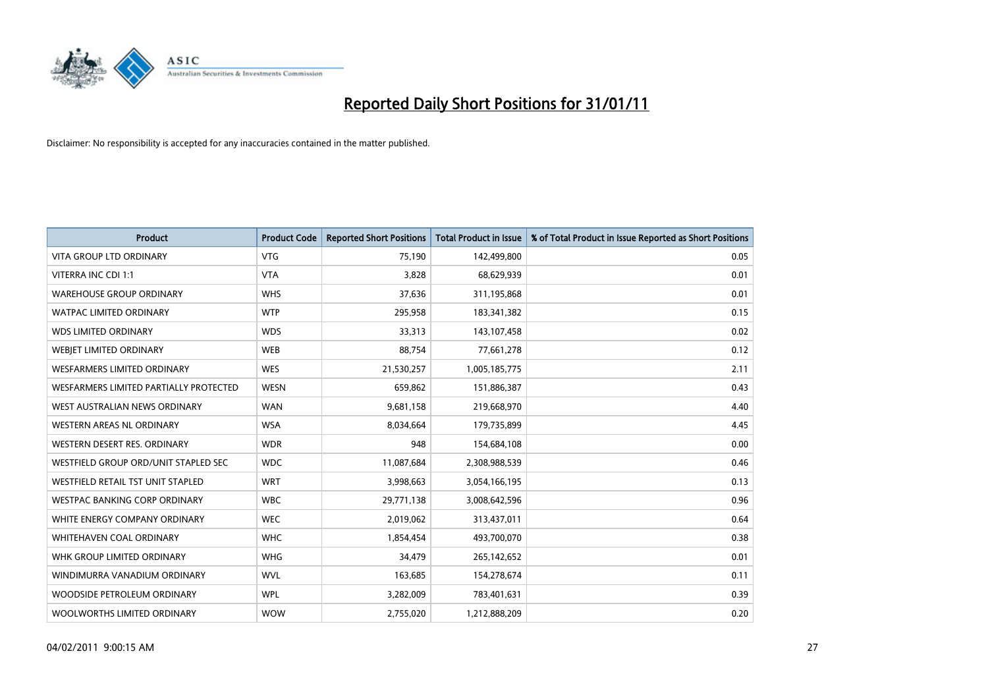

| Product                                | <b>Product Code</b> | <b>Reported Short Positions</b> | <b>Total Product in Issue</b> | % of Total Product in Issue Reported as Short Positions |
|----------------------------------------|---------------------|---------------------------------|-------------------------------|---------------------------------------------------------|
| <b>VITA GROUP LTD ORDINARY</b>         | <b>VTG</b>          | 75,190                          | 142,499,800                   | 0.05                                                    |
| VITERRA INC CDI 1:1                    | <b>VTA</b>          | 3,828                           | 68,629,939                    | 0.01                                                    |
| <b>WAREHOUSE GROUP ORDINARY</b>        | <b>WHS</b>          | 37,636                          | 311,195,868                   | 0.01                                                    |
| WATPAC LIMITED ORDINARY                | <b>WTP</b>          | 295,958                         | 183,341,382                   | 0.15                                                    |
| <b>WDS LIMITED ORDINARY</b>            | <b>WDS</b>          | 33,313                          | 143,107,458                   | 0.02                                                    |
| WEBJET LIMITED ORDINARY                | <b>WEB</b>          | 88,754                          | 77,661,278                    | 0.12                                                    |
| <b>WESFARMERS LIMITED ORDINARY</b>     | <b>WES</b>          | 21,530,257                      | 1,005,185,775                 | 2.11                                                    |
| WESFARMERS LIMITED PARTIALLY PROTECTED | <b>WESN</b>         | 659,862                         | 151,886,387                   | 0.43                                                    |
| WEST AUSTRALIAN NEWS ORDINARY          | <b>WAN</b>          | 9,681,158                       | 219,668,970                   | 4.40                                                    |
| WESTERN AREAS NL ORDINARY              | <b>WSA</b>          | 8,034,664                       | 179,735,899                   | 4.45                                                    |
| WESTERN DESERT RES. ORDINARY           | <b>WDR</b>          | 948                             | 154,684,108                   | 0.00                                                    |
| WESTFIELD GROUP ORD/UNIT STAPLED SEC   | <b>WDC</b>          | 11,087,684                      | 2,308,988,539                 | 0.46                                                    |
| WESTFIELD RETAIL TST UNIT STAPLED      | <b>WRT</b>          | 3,998,663                       | 3,054,166,195                 | 0.13                                                    |
| <b>WESTPAC BANKING CORP ORDINARY</b>   | <b>WBC</b>          | 29,771,138                      | 3,008,642,596                 | 0.96                                                    |
| WHITE ENERGY COMPANY ORDINARY          | <b>WEC</b>          | 2,019,062                       | 313,437,011                   | 0.64                                                    |
| WHITEHAVEN COAL ORDINARY               | <b>WHC</b>          | 1,854,454                       | 493,700,070                   | 0.38                                                    |
| WHK GROUP LIMITED ORDINARY             | <b>WHG</b>          | 34,479                          | 265,142,652                   | 0.01                                                    |
| WINDIMURRA VANADIUM ORDINARY           | <b>WVL</b>          | 163,685                         | 154,278,674                   | 0.11                                                    |
| WOODSIDE PETROLEUM ORDINARY            | <b>WPL</b>          | 3,282,009                       | 783,401,631                   | 0.39                                                    |
| WOOLWORTHS LIMITED ORDINARY            | <b>WOW</b>          | 2.755.020                       | 1,212,888,209                 | 0.20                                                    |